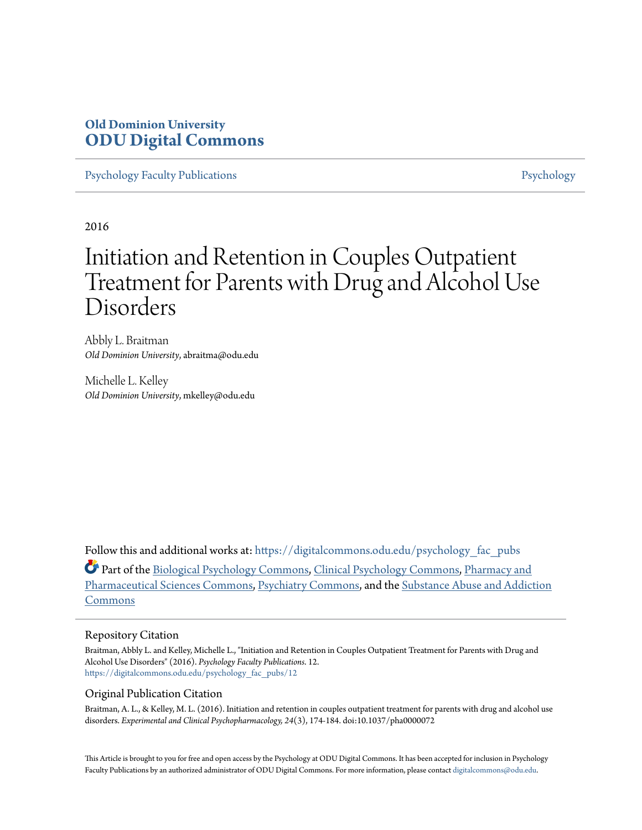## **Old Dominion University [ODU Digital Commons](https://digitalcommons.odu.edu?utm_source=digitalcommons.odu.edu%2Fpsychology_fac_pubs%2F12&utm_medium=PDF&utm_campaign=PDFCoverPages)**

[Psychology Faculty Publications](https://digitalcommons.odu.edu/psychology_fac_pubs?utm_source=digitalcommons.odu.edu%2Fpsychology_fac_pubs%2F12&utm_medium=PDF&utm_campaign=PDFCoverPages) **[Psychology](https://digitalcommons.odu.edu/psychology?utm_source=digitalcommons.odu.edu%2Fpsychology_fac_pubs%2F12&utm_medium=PDF&utm_campaign=PDFCoverPages)** Psychology

2016

# Initiation and Retention in Couples Outpatient Treatment for Parents with Drug and Alcohol Use Disorders

Abbly L. Braitman *Old Dominion University*, abraitma@odu.edu

Michelle L. Kelley *Old Dominion University*, mkelley@odu.edu

Follow this and additional works at: [https://digitalcommons.odu.edu/psychology\\_fac\\_pubs](https://digitalcommons.odu.edu/psychology_fac_pubs?utm_source=digitalcommons.odu.edu%2Fpsychology_fac_pubs%2F12&utm_medium=PDF&utm_campaign=PDFCoverPages)

Part of the [Biological Psychology Commons,](http://network.bepress.com/hgg/discipline/405?utm_source=digitalcommons.odu.edu%2Fpsychology_fac_pubs%2F12&utm_medium=PDF&utm_campaign=PDFCoverPages) [Clinical Psychology Commons](http://network.bepress.com/hgg/discipline/406?utm_source=digitalcommons.odu.edu%2Fpsychology_fac_pubs%2F12&utm_medium=PDF&utm_campaign=PDFCoverPages), [Pharmacy and](http://network.bepress.com/hgg/discipline/731?utm_source=digitalcommons.odu.edu%2Fpsychology_fac_pubs%2F12&utm_medium=PDF&utm_campaign=PDFCoverPages) [Pharmaceutical Sciences Commons](http://network.bepress.com/hgg/discipline/731?utm_source=digitalcommons.odu.edu%2Fpsychology_fac_pubs%2F12&utm_medium=PDF&utm_campaign=PDFCoverPages), [Psychiatry Commons,](http://network.bepress.com/hgg/discipline/704?utm_source=digitalcommons.odu.edu%2Fpsychology_fac_pubs%2F12&utm_medium=PDF&utm_campaign=PDFCoverPages) and the [Substance Abuse and Addiction](http://network.bepress.com/hgg/discipline/710?utm_source=digitalcommons.odu.edu%2Fpsychology_fac_pubs%2F12&utm_medium=PDF&utm_campaign=PDFCoverPages) [Commons](http://network.bepress.com/hgg/discipline/710?utm_source=digitalcommons.odu.edu%2Fpsychology_fac_pubs%2F12&utm_medium=PDF&utm_campaign=PDFCoverPages)

## Repository Citation

Braitman, Abbly L. and Kelley, Michelle L., "Initiation and Retention in Couples Outpatient Treatment for Parents with Drug and Alcohol Use Disorders" (2016). *Psychology Faculty Publications*. 12. [https://digitalcommons.odu.edu/psychology\\_fac\\_pubs/12](https://digitalcommons.odu.edu/psychology_fac_pubs/12?utm_source=digitalcommons.odu.edu%2Fpsychology_fac_pubs%2F12&utm_medium=PDF&utm_campaign=PDFCoverPages)

## Original Publication Citation

Braitman, A. L., & Kelley, M. L. (2016). Initiation and retention in couples outpatient treatment for parents with drug and alcohol use disorders. *Experimental and Clinical Psychopharmacology, 24*(3), 174-184. doi:10.1037/pha0000072

This Article is brought to you for free and open access by the Psychology at ODU Digital Commons. It has been accepted for inclusion in Psychology Faculty Publications by an authorized administrator of ODU Digital Commons. For more information, please contact [digitalcommons@odu.edu.](mailto:digitalcommons@odu.edu)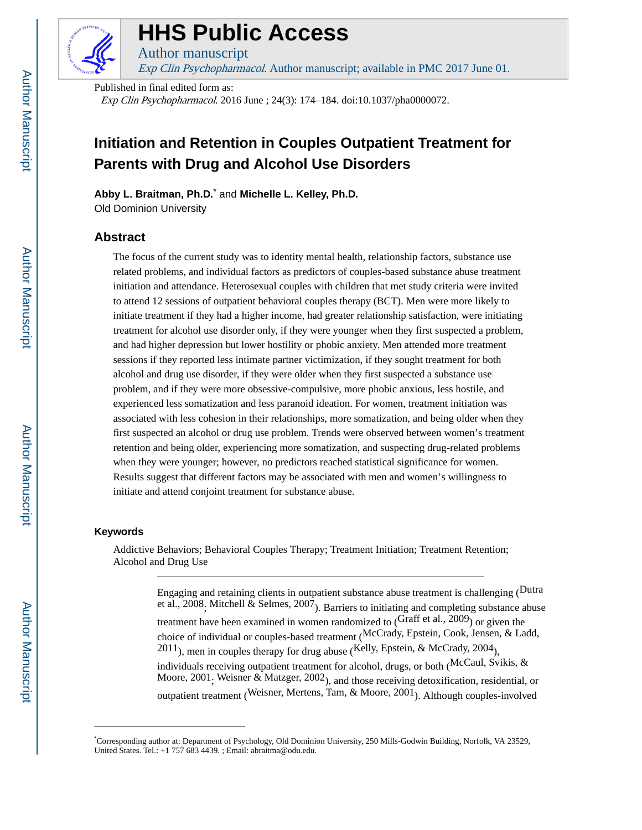

# **HHS Public Access**

Author manuscript Exp Clin Psychopharmacol. Author manuscript; available in PMC 2017 June 01.

Published in final edited form as: Exp Clin Psychopharmacol. 2016 June ; 24(3): 174–184. doi:10.1037/pha0000072.

## **Initiation and Retention in Couples Outpatient Treatment for Parents with Drug and Alcohol Use Disorders**

**Abby L. Braitman, Ph.D.**\* and **Michelle L. Kelley, Ph.D.** Old Dominion University

## **Abstract**

The focus of the current study was to identity mental health, relationship factors, substance use related problems, and individual factors as predictors of couples-based substance abuse treatment initiation and attendance. Heterosexual couples with children that met study criteria were invited to attend 12 sessions of outpatient behavioral couples therapy (BCT). Men were more likely to initiate treatment if they had a higher income, had greater relationship satisfaction, were initiating treatment for alcohol use disorder only, if they were younger when they first suspected a problem, and had higher depression but lower hostility or phobic anxiety. Men attended more treatment sessions if they reported less intimate partner victimization, if they sought treatment for both alcohol and drug use disorder, if they were older when they first suspected a substance use problem, and if they were more obsessive-compulsive, more phobic anxious, less hostile, and experienced less somatization and less paranoid ideation. For women, treatment initiation was associated with less cohesion in their relationships, more somatization, and being older when they first suspected an alcohol or drug use problem. Trends were observed between women's treatment retention and being older, experiencing more somatization, and suspecting drug-related problems when they were younger; however, no predictors reached statistical significance for women. Results suggest that different factors may be associated with men and women's willingness to initiate and attend conjoint treatment for substance abuse.

#### **Keywords**

Addictive Behaviors; Behavioral Couples Therapy; Treatment Initiation; Treatment Retention; Alcohol and Drug Use

> Engaging and retaining clients in outpatient substance abuse treatment is challenging (Dutra et al., 2008. Mitchell & Selmes, 2007). Barriers to initiating and completing substance abuse treatment have been examined in women randomized to (Graff et al., 2009) or given the choice of individual or couples-based treatment (McCrady, Epstein, Cook, Jensen, & Ladd,  $2011$ ), men in couples therapy for drug abuse (Kelly, Epstein, & McCrady, 2004), individuals receiving outpatient treatment for alcohol, drugs, or both (McCaul, Svikis, & Moore, 2001; Weisner & Matzger, 2002), and those receiving detoxification, residential, or outpatient treatment (Weisner, Mertens, Tam, & Moore, 2001). Although couples-involved

<sup>\*</sup>Corresponding author at: Department of Psychology, Old Dominion University, 250 Mills-Godwin Building, Norfolk, VA 23529, United States. Tel.: +1 757 683 4439. ; Email: abraitma@odu.edu.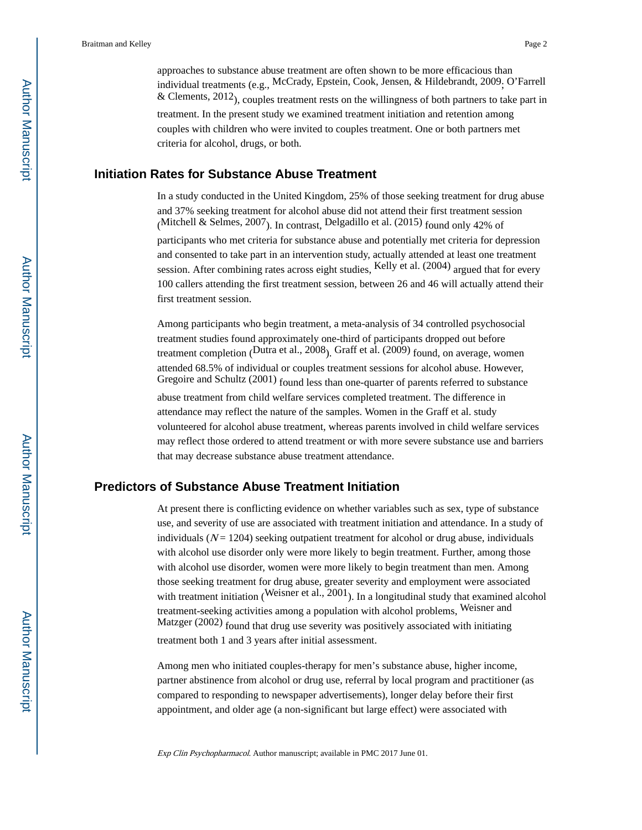approaches to substance abuse treatment are often shown to be more efficacious than individual treatments (e.g., McCrady, Epstein, Cook, Jensen, & Hildebrandt, 2009; O'Farrell & Clements, 2012), couples treatment rests on the willingness of both partners to take part in treatment. In the present study we examined treatment initiation and retention among couples with children who were invited to couples treatment. One or both partners met criteria for alcohol, drugs, or both.

## **Initiation Rates for Substance Abuse Treatment**

In a study conducted in the United Kingdom, 25% of those seeking treatment for drug abuse and 37% seeking treatment for alcohol abuse did not attend their first treatment session (Mitchell & Selmes, 2007). In contrast, Delgadillo et al. (2015) found only 42% of

participants who met criteria for substance abuse and potentially met criteria for depression and consented to take part in an intervention study, actually attended at least one treatment session. After combining rates across eight studies, Kelly et al. (2004) argued that for every 100 callers attending the first treatment session, between 26 and 46 will actually attend their first treatment session.

Among participants who begin treatment, a meta-analysis of 34 controlled psychosocial treatment studies found approximately one-third of participants dropped out before treatment completion (Dutra et al., 2008). Graff et al. (2009)  $_{\text{found}}$  on average, women attended 68.5% of individual or couples treatment sessions for alcohol abuse. However, Gregoire and Schultz (2001) found less than one-quarter of parents referred to substance abuse treatment from child welfare services completed treatment. The difference in attendance may reflect the nature of the samples. Women in the Graff et al. study volunteered for alcohol abuse treatment, whereas parents involved in child welfare services may reflect those ordered to attend treatment or with more severe substance use and barriers that may decrease substance abuse treatment attendance.

## **Predictors of Substance Abuse Treatment Initiation**

At present there is conflicting evidence on whether variables such as sex, type of substance use, and severity of use are associated with treatment initiation and attendance. In a study of individuals ( $N = 1204$ ) seeking outpatient treatment for alcohol or drug abuse, individuals with alcohol use disorder only were more likely to begin treatment. Further, among those with alcohol use disorder, women were more likely to begin treatment than men. Among those seeking treatment for drug abuse, greater severity and employment were associated with treatment initiation (Weisner et al., 2001). In a longitudinal study that examined alcohol treatment-seeking activities among a population with alcohol problems, Weisner and Matzger (2002) found that drug use severity was positively associated with initiating treatment both 1 and 3 years after initial assessment.

Among men who initiated couples-therapy for men's substance abuse, higher income, partner abstinence from alcohol or drug use, referral by local program and practitioner (as compared to responding to newspaper advertisements), longer delay before their first appointment, and older age (a non-significant but large effect) were associated with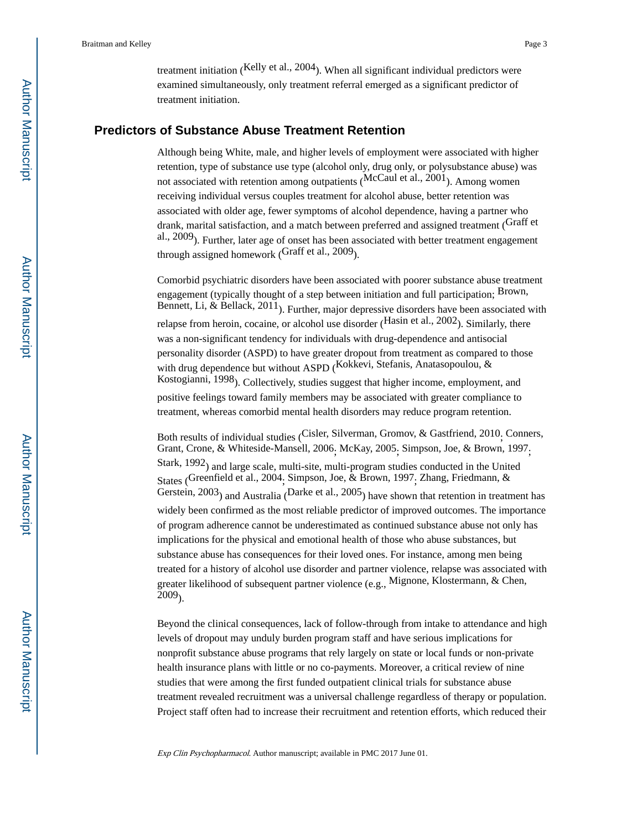treatment initiation (Kelly et al., 2004). When all significant individual predictors were examined simultaneously, only treatment referral emerged as a significant predictor of treatment initiation.

## **Predictors of Substance Abuse Treatment Retention**

Although being White, male, and higher levels of employment were associated with higher retention, type of substance use type (alcohol only, drug only, or polysubstance abuse) was not associated with retention among outpatients (McCaul et al., 2001). Among women receiving individual versus couples treatment for alcohol abuse, better retention was associated with older age, fewer symptoms of alcohol dependence, having a partner who drank, marital satisfaction, and a match between preferred and assigned treatment (Graff et al., 2009). Further, later age of onset has been associated with better treatment engagement through assigned homework (Graff et al., 2009).

Comorbid psychiatric disorders have been associated with poorer substance abuse treatment engagement (typically thought of a step between initiation and full participation; Brown, Bennett, Li, & Bellack, 2011). Further, major depressive disorders have been associated with relapse from heroin, cocaine, or alcohol use disorder (Hasin et al., 2002). Similarly, there was a non-significant tendency for individuals with drug-dependence and antisocial personality disorder (ASPD) to have greater dropout from treatment as compared to those with drug dependence but without ASPD (Kokkevi, Stefanis, Anatasopoulou, & Kostogianni, 1998). Collectively, studies suggest that higher income, employment, and positive feelings toward family members may be associated with greater compliance to treatment, whereas comorbid mental health disorders may reduce program retention.

Both results of individual studies (Cisler, Silverman, Gromov, & Gastfriend, 2010; Conners, Grant, Crone, & Whiteside-Mansell, 2006; McKay, 2005; Simpson, Joe, & Brown, 1997; Stark, 1992<sub>)</sub> and large scale, multi-site, multi-program studies conducted in the United States (Greenfield et al., 2004; Simpson, Joe, & Brown, 1997; Zhang, Friedmann, & Gerstein, 2003<sub>)</sub> and Australia (Darke et al., 2005<sub>)</sub> have shown that retention in treatment has widely been confirmed as the most reliable predictor of improved outcomes. The importance of program adherence cannot be underestimated as continued substance abuse not only has implications for the physical and emotional health of those who abuse substances, but substance abuse has consequences for their loved ones. For instance, among men being treated for a history of alcohol use disorder and partner violence, relapse was associated with greater likelihood of subsequent partner violence (e.g., Mignone, Klostermann, & Chen,  $2009$ <sub>)</sub>.

Beyond the clinical consequences, lack of follow-through from intake to attendance and high levels of dropout may unduly burden program staff and have serious implications for nonprofit substance abuse programs that rely largely on state or local funds or non-private health insurance plans with little or no co-payments. Moreover, a critical review of nine studies that were among the first funded outpatient clinical trials for substance abuse treatment revealed recruitment was a universal challenge regardless of therapy or population. Project staff often had to increase their recruitment and retention efforts, which reduced their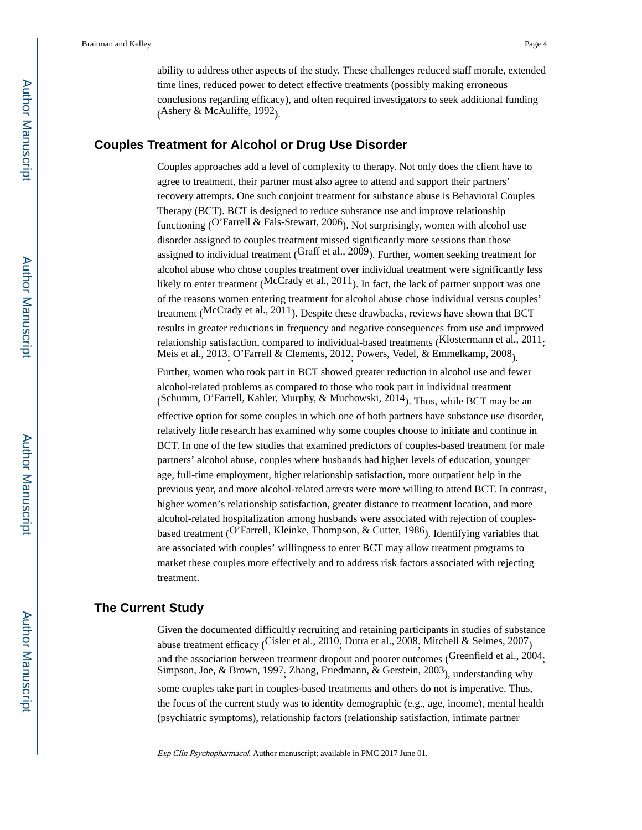ability to address other aspects of the study. These challenges reduced staff morale, extended time lines, reduced power to detect effective treatments (possibly making erroneous conclusions regarding efficacy), and often required investigators to seek additional funding (Ashery & McAuliffe, 1992).

## **Couples Treatment for Alcohol or Drug Use Disorder**

Couples approaches add a level of complexity to therapy. Not only does the client have to agree to treatment, their partner must also agree to attend and support their partners' recovery attempts. One such conjoint treatment for substance abuse is Behavioral Couples Therapy (BCT). BCT is designed to reduce substance use and improve relationship functioning (O'Farrell & Fals-Stewart, 2006). Not surprisingly, women with alcohol use disorder assigned to couples treatment missed significantly more sessions than those assigned to individual treatment (Graff et al., 2009). Further, women seeking treatment for alcohol abuse who chose couples treatment over individual treatment were significantly less likely to enter treatment (McCrady et al., 2011). In fact, the lack of partner support was one of the reasons women entering treatment for alcohol abuse chose individual versus couples' treatment (McCrady et al., 2011). Despite these drawbacks, reviews have shown that BCT results in greater reductions in frequency and negative consequences from use and improved relationship satisfaction, compared to individual-based treatments (Klostermann et al.,  $2011$ ; Meis et al., 2013; O'Farrell & Clements, 2012. Powers, Vedel, & Emmelkamp, 2008<sub>).</sub> Further, women who took part in BCT showed greater reduction in alcohol use and fewer alcohol-related problems as compared to those who took part in individual treatment ( Schumm, O'Farrell, Kahler, Murphy, & Muchowski, 2014). Thus, while BCT may be an

effective option for some couples in which one of both partners have substance use disorder, relatively little research has examined why some couples choose to initiate and continue in BCT. In one of the few studies that examined predictors of couples-based treatment for male partners' alcohol abuse, couples where husbands had higher levels of education, younger age, full-time employment, higher relationship satisfaction, more outpatient help in the previous year, and more alcohol-related arrests were more willing to attend BCT. In contrast, higher women's relationship satisfaction, greater distance to treatment location, and more alcohol-related hospitalization among husbands were associated with rejection of couplesbased treatment (O'Farrell, Kleinke, Thompson, & Cutter, 1986). Identifying variables that are associated with couples' willingness to enter BCT may allow treatment programs to market these couples more effectively and to address risk factors associated with rejecting treatment.

## **The Current Study**

Given the documented difficultly recruiting and retaining participants in studies of substance abuse treatment efficacy (Cisler et al., 2010; Dutra et al., 2008; Mitchell & Selmes, 2007) and the association between treatment dropout and poorer outcomes (Greenfield et al., 2004; Simpson, Joe, & Brown, 1997; Zhang, Friedmann, & Gerstein, 2003), understanding why some couples take part in couples-based treatments and others do not is imperative. Thus, the focus of the current study was to identity demographic (e.g., age, income), mental health (psychiatric symptoms), relationship factors (relationship satisfaction, intimate partner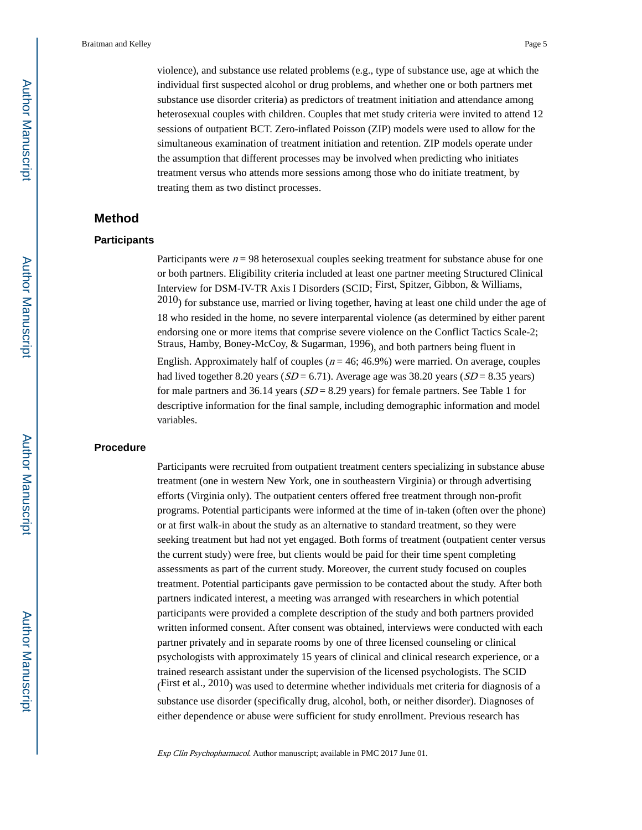violence), and substance use related problems (e.g., type of substance use, age at which the individual first suspected alcohol or drug problems, and whether one or both partners met substance use disorder criteria) as predictors of treatment initiation and attendance among heterosexual couples with children. Couples that met study criteria were invited to attend 12 sessions of outpatient BCT. Zero-inflated Poisson (ZIP) models were used to allow for the simultaneous examination of treatment initiation and retention. ZIP models operate under the assumption that different processes may be involved when predicting who initiates treatment versus who attends more sessions among those who do initiate treatment, by treating them as two distinct processes.

## **Method**

#### **Participants**

Participants were  $n = 98$  heterosexual couples seeking treatment for substance abuse for one or both partners. Eligibility criteria included at least one partner meeting Structured Clinical Interview for DSM-IV-TR Axis I Disorders (SCID; First, Spitzer, Gibbon, & Williams, 2010) for substance use, married or living together, having at least one child under the age of 18 who resided in the home, no severe interparental violence (as determined by either parent

endorsing one or more items that comprise severe violence on the Conflict Tactics Scale-2;

Straus, Hamby, Boney-McCoy, & Sugarman, 1996<sub>), and both partners being fluent in</sub> English. Approximately half of couples ( $n = 46$ ; 46.9%) were married. On average, couples had lived together 8.20 years ( $SD = 6.71$ ). Average age was 38.20 years ( $SD = 8.35$  years) for male partners and 36.14 years ( $SD = 8.29$  years) for female partners. See Table 1 for descriptive information for the final sample, including demographic information and model variables.

#### **Procedure**

Participants were recruited from outpatient treatment centers specializing in substance abuse treatment (one in western New York, one in southeastern Virginia) or through advertising efforts (Virginia only). The outpatient centers offered free treatment through non-profit programs. Potential participants were informed at the time of in-taken (often over the phone) or at first walk-in about the study as an alternative to standard treatment, so they were seeking treatment but had not yet engaged. Both forms of treatment (outpatient center versus the current study) were free, but clients would be paid for their time spent completing assessments as part of the current study. Moreover, the current study focused on couples treatment. Potential participants gave permission to be contacted about the study. After both partners indicated interest, a meeting was arranged with researchers in which potential participants were provided a complete description of the study and both partners provided written informed consent. After consent was obtained, interviews were conducted with each partner privately and in separate rooms by one of three licensed counseling or clinical psychologists with approximately 15 years of clinical and clinical research experience, or a trained research assistant under the supervision of the licensed psychologists. The SCID (First et al., 2010) was used to determine whether individuals met criteria for diagnosis of a substance use disorder (specifically drug, alcohol, both, or neither disorder). Diagnoses of either dependence or abuse were sufficient for study enrollment. Previous research has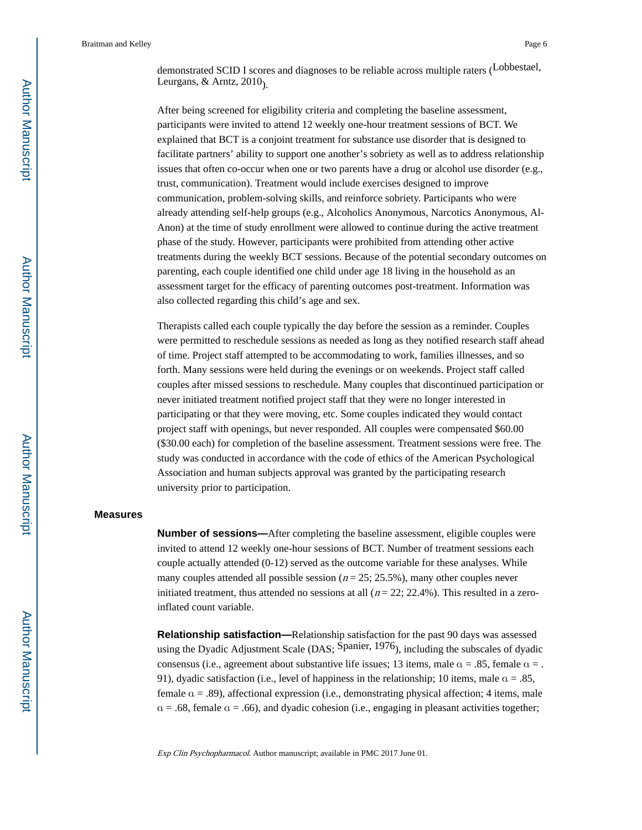demonstrated SCID I scores and diagnoses to be reliable across multiple raters (Lobbestael, Leurgans,  $&$  Arntz, 2010,

After being screened for eligibility criteria and completing the baseline assessment, participants were invited to attend 12 weekly one-hour treatment sessions of BCT. We explained that BCT is a conjoint treatment for substance use disorder that is designed to facilitate partners' ability to support one another's sobriety as well as to address relationship issues that often co-occur when one or two parents have a drug or alcohol use disorder (e.g., trust, communication). Treatment would include exercises designed to improve communication, problem-solving skills, and reinforce sobriety. Participants who were already attending self-help groups (e.g., Alcoholics Anonymous, Narcotics Anonymous, Al-Anon) at the time of study enrollment were allowed to continue during the active treatment phase of the study. However, participants were prohibited from attending other active treatments during the weekly BCT sessions. Because of the potential secondary outcomes on parenting, each couple identified one child under age 18 living in the household as an assessment target for the efficacy of parenting outcomes post-treatment. Information was also collected regarding this child's age and sex.

Therapists called each couple typically the day before the session as a reminder. Couples were permitted to reschedule sessions as needed as long as they notified research staff ahead of time. Project staff attempted to be accommodating to work, families illnesses, and so forth. Many sessions were held during the evenings or on weekends. Project staff called couples after missed sessions to reschedule. Many couples that discontinued participation or never initiated treatment notified project staff that they were no longer interested in participating or that they were moving, etc. Some couples indicated they would contact project staff with openings, but never responded. All couples were compensated \$60.00 (\$30.00 each) for completion of the baseline assessment. Treatment sessions were free. The study was conducted in accordance with the code of ethics of the American Psychological Association and human subjects approval was granted by the participating research university prior to participation.

#### **Measures**

**Number of sessions—**After completing the baseline assessment, eligible couples were invited to attend 12 weekly one-hour sessions of BCT. Number of treatment sessions each couple actually attended (0-12) served as the outcome variable for these analyses. While many couples attended all possible session ( $n = 25$ ; 25.5%), many other couples never initiated treatment, thus attended no sessions at all  $(n = 22; 22.4\%)$ . This resulted in a zeroinflated count variable.

**Relationship satisfaction—**Relationship satisfaction for the past 90 days was assessed using the Dyadic Adjustment Scale (DAS; Spanier, 1976), including the subscales of dyadic consensus (i.e., agreement about substantive life issues; 13 items, male  $\alpha = .85$ , female  $\alpha = .$ 91), dyadic satisfaction (i.e., level of happiness in the relationship; 10 items, male  $\alpha = .85$ , female  $\alpha$  = .89), affectional expression (i.e., demonstrating physical affection; 4 items, male  $\alpha = .68$ , female  $\alpha = .66$ ), and dyadic cohesion (i.e., engaging in pleasant activities together;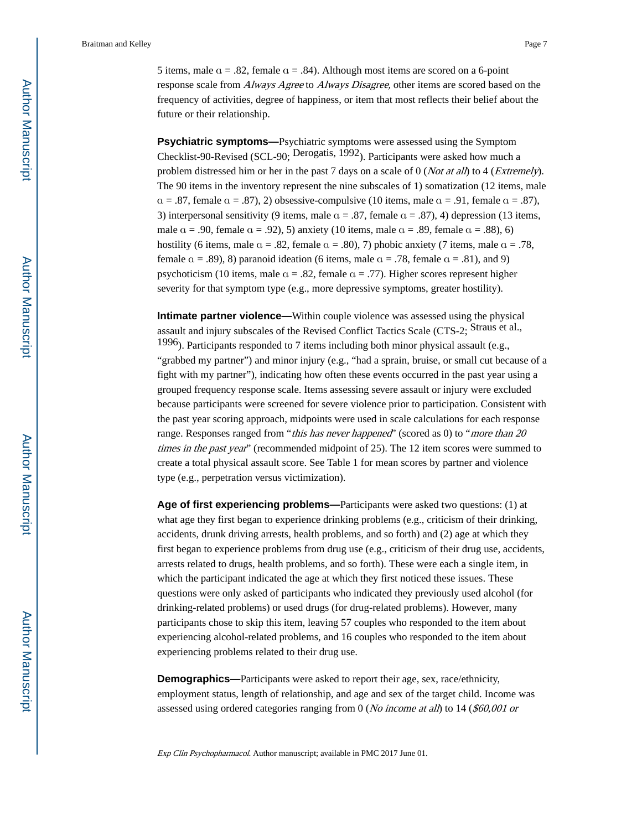5 items, male  $\alpha = .82$ , female  $\alpha = .84$ ). Although most items are scored on a 6-point response scale from Always Agree to Always Disagree, other items are scored based on the frequency of activities, degree of happiness, or item that most reflects their belief about the future or their relationship.

**Psychiatric symptoms—**Psychiatric symptoms were assessed using the Symptom Checklist-90-Revised (SCL-90; Derogatis, 1992). Participants were asked how much a problem distressed him or her in the past 7 days on a scale of 0 (Not at all) to 4 (Extremely). The 90 items in the inventory represent the nine subscales of 1) somatization (12 items, male  $\alpha = .87$ , female  $\alpha = .87$ , 2) obsessive-compulsive (10 items, male  $\alpha = .91$ , female  $\alpha = .87$ ), 3) interpersonal sensitivity (9 items, male  $\alpha = .87$ , female  $\alpha = .87$ ), 4) depression (13 items, male  $\alpha = .90$ , female  $\alpha = .92$ , 5) anxiety (10 items, male  $\alpha = .89$ , female  $\alpha = .88$ ), 6) hostility (6 items, male  $\alpha = .82$ , female  $\alpha = .80$ ), 7) phobic anxiety (7 items, male  $\alpha = .78$ , female  $\alpha = .89$ , 8) paranoid ideation (6 items, male  $\alpha = .78$ , female  $\alpha = .81$ ), and 9) psychoticism (10 items, male  $\alpha = .82$ , female  $\alpha = .77$ ). Higher scores represent higher severity for that symptom type (e.g., more depressive symptoms, greater hostility).

**Intimate partner violence—**Within couple violence was assessed using the physical assault and injury subscales of the Revised Conflict Tactics Scale (CTS-2; Straus et al.,  $1996$ ). Participants responded to 7 items including both minor physical assault (e.g., "grabbed my partner") and minor injury (e.g., "had a sprain, bruise, or small cut because of a fight with my partner"), indicating how often these events occurred in the past year using a grouped frequency response scale. Items assessing severe assault or injury were excluded because participants were screened for severe violence prior to participation. Consistent with the past year scoring approach, midpoints were used in scale calculations for each response range. Responses ranged from "*this has never happened*" (scored as 0) to "*more than 20* times in the past year" (recommended midpoint of 25). The 12 item scores were summed to create a total physical assault score. See Table 1 for mean scores by partner and violence type (e.g., perpetration versus victimization).

**Age of first experiencing problems—**Participants were asked two questions: (1) at what age they first began to experience drinking problems (e.g., criticism of their drinking, accidents, drunk driving arrests, health problems, and so forth) and (2) age at which they first began to experience problems from drug use (e.g., criticism of their drug use, accidents, arrests related to drugs, health problems, and so forth). These were each a single item, in which the participant indicated the age at which they first noticed these issues. These questions were only asked of participants who indicated they previously used alcohol (for drinking-related problems) or used drugs (for drug-related problems). However, many participants chose to skip this item, leaving 57 couples who responded to the item about experiencing alcohol-related problems, and 16 couples who responded to the item about experiencing problems related to their drug use.

**Demographics—**Participants were asked to report their age, sex, race/ethnicity, employment status, length of relationship, and age and sex of the target child. Income was assessed using ordered categories ranging from 0 (No income at all) to 14 (\$60,001 or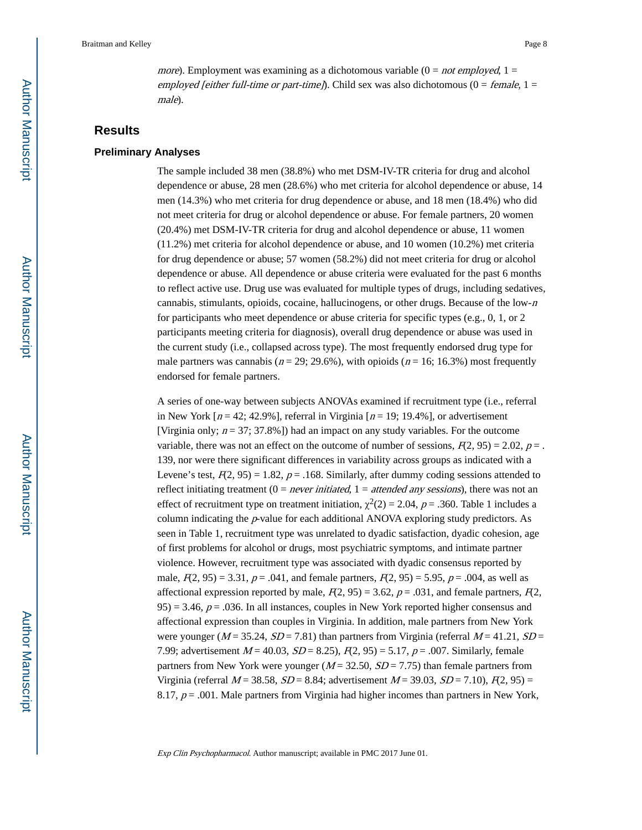## **Results**

#### **Preliminary Analyses**

The sample included 38 men (38.8%) who met DSM-IV-TR criteria for drug and alcohol dependence or abuse, 28 men (28.6%) who met criteria for alcohol dependence or abuse, 14 men (14.3%) who met criteria for drug dependence or abuse, and 18 men (18.4%) who did not meet criteria for drug or alcohol dependence or abuse. For female partners, 20 women (20.4%) met DSM-IV-TR criteria for drug and alcohol dependence or abuse, 11 women (11.2%) met criteria for alcohol dependence or abuse, and 10 women (10.2%) met criteria for drug dependence or abuse; 57 women (58.2%) did not meet criteria for drug or alcohol dependence or abuse. All dependence or abuse criteria were evaluated for the past 6 months to reflect active use. Drug use was evaluated for multiple types of drugs, including sedatives, cannabis, stimulants, opioids, cocaine, hallucinogens, or other drugs. Because of the low-<sup>n</sup> for participants who meet dependence or abuse criteria for specific types (e.g., 0, 1, or 2 participants meeting criteria for diagnosis), overall drug dependence or abuse was used in the current study (i.e., collapsed across type). The most frequently endorsed drug type for male partners was cannabis ( $n = 29$ ; 29.6%), with opioids ( $n = 16$ ; 16.3%) most frequently endorsed for female partners.

A series of one-way between subjects ANOVAs examined if recruitment type (i.e., referral in New York  $[n = 42; 42.9\%]$ , referral in Virginia  $[n = 19; 19.4\%]$ , or advertisement [Virginia only;  $n = 37$ ; 37.8%]) had an impact on any study variables. For the outcome variable, there was not an effect on the outcome of number of sessions,  $F(2, 95) = 2.02$ ,  $p =$ . 139, nor were there significant differences in variability across groups as indicated with a Levene's test,  $F(2, 95) = 1.82$ ,  $p = .168$ . Similarly, after dummy coding sessions attended to reflect initiating treatment ( $0 = never initiated$ ,  $1 = attended$  any sessions), there was not an effect of recruitment type on treatment initiation,  $\chi^2(2) = 2.04$ ,  $p = .360$ . Table 1 includes a column indicating the p-value for each additional ANOVA exploring study predictors. As seen in Table 1, recruitment type was unrelated to dyadic satisfaction, dyadic cohesion, age of first problems for alcohol or drugs, most psychiatric symptoms, and intimate partner violence. However, recruitment type was associated with dyadic consensus reported by male,  $F(2, 95) = 3.31$ ,  $p = .041$ , and female partners,  $F(2, 95) = 5.95$ ,  $p = .004$ , as well as affectional expression reported by male,  $F(2, 95) = 3.62$ ,  $p = .031$ , and female partners,  $F(2, 95) = 3.62$ ,  $p = .031$ , and female partners,  $F(2, 95) = .031$  $95$ ) = 3.46,  $p = .036$ . In all instances, couples in New York reported higher consensus and affectional expression than couples in Virginia. In addition, male partners from New York were younger ( $M = 35.24$ ,  $SD = 7.81$ ) than partners from Virginia (referral  $M = 41.21$ ,  $SD =$ 7.99; advertisement  $M = 40.03$ ,  $SD = 8.25$ ),  $R(2, 95) = 5.17$ ,  $p = .007$ . Similarly, female partners from New York were younger ( $M = 32.50$ ,  $SD = 7.75$ ) than female partners from Virginia (referral  $M = 38.58$ ,  $SD = 8.84$ ; advertisement  $M = 39.03$ ,  $SD = 7.10$ ),  $R2$ ,  $95$ ) = 8.17,  $p = .001$ . Male partners from Virginia had higher incomes than partners in New York,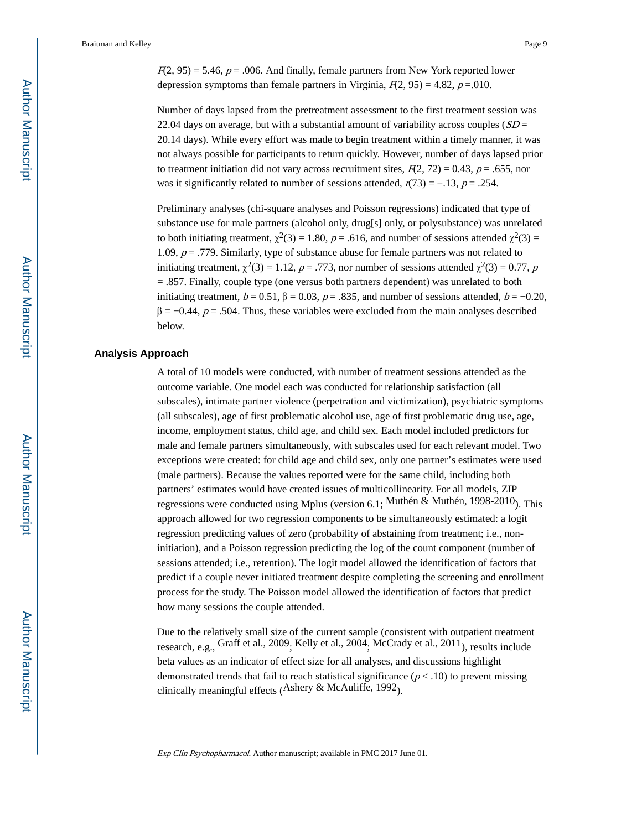$F(2, 95) = 5.46$ ,  $p = .006$ . And finally, female partners from New York reported lower depression symptoms than female partners in Virginia,  $F(2, 95) = 4.82$ ,  $p = .010$ .

Number of days lapsed from the pretreatment assessment to the first treatment session was 22.04 days on average, but with a substantial amount of variability across couples  $(SD=$ 20.14 days). While every effort was made to begin treatment within a timely manner, it was not always possible for participants to return quickly. However, number of days lapsed prior to treatment initiation did not vary across recruitment sites,  $F(2, 72) = 0.43$ ,  $p = .655$ , nor was it significantly related to number of sessions attended,  $r(73) = -.13$ ,  $p = .254$ .

Preliminary analyses (chi-square analyses and Poisson regressions) indicated that type of substance use for male partners (alcohol only, drug[s] only, or polysubstance) was unrelated to both initiating treatment,  $\chi^2(3) = 1.80$ ,  $p = .616$ , and number of sessions attended  $\chi^2(3) =$ 1.09,  $p = .779$ . Similarly, type of substance abuse for female partners was not related to initiating treatment,  $\chi^2(3) = 1.12$ ,  $p = .773$ , nor number of sessions attended  $\chi^2(3) = 0.77$ , p = .857. Finally, couple type (one versus both partners dependent) was unrelated to both initiating treatment,  $b = 0.51$ ,  $β = 0.03$ ,  $p = .835$ , and number of sessions attended,  $b = -0.20$ ,  $\beta = -0.44$ ,  $p = .504$ . Thus, these variables were excluded from the main analyses described below.

#### **Analysis Approach**

A total of 10 models were conducted, with number of treatment sessions attended as the outcome variable. One model each was conducted for relationship satisfaction (all subscales), intimate partner violence (perpetration and victimization), psychiatric symptoms (all subscales), age of first problematic alcohol use, age of first problematic drug use, age, income, employment status, child age, and child sex. Each model included predictors for male and female partners simultaneously, with subscales used for each relevant model. Two exceptions were created: for child age and child sex, only one partner's estimates were used (male partners). Because the values reported were for the same child, including both partners' estimates would have created issues of multicollinearity. For all models, ZIP regressions were conducted using Mplus (version 6.1; Muthén & Muthén, 1998-2010). This approach allowed for two regression components to be simultaneously estimated: a logit regression predicting values of zero (probability of abstaining from treatment; i.e., noninitiation), and a Poisson regression predicting the log of the count component (number of sessions attended; i.e., retention). The logit model allowed the identification of factors that predict if a couple never initiated treatment despite completing the screening and enrollment process for the study. The Poisson model allowed the identification of factors that predict how many sessions the couple attended.

Due to the relatively small size of the current sample (consistent with outpatient treatment research, e.g., Graff et al., 2009; Kelly et al., 2004; McCrady et al., 2011), results include beta values as an indicator of effect size for all analyses, and discussions highlight demonstrated trends that fail to reach statistical significance ( $p < .10$ ) to prevent missing clinically meaningful effects (Ashery & McAuliffe, 1992).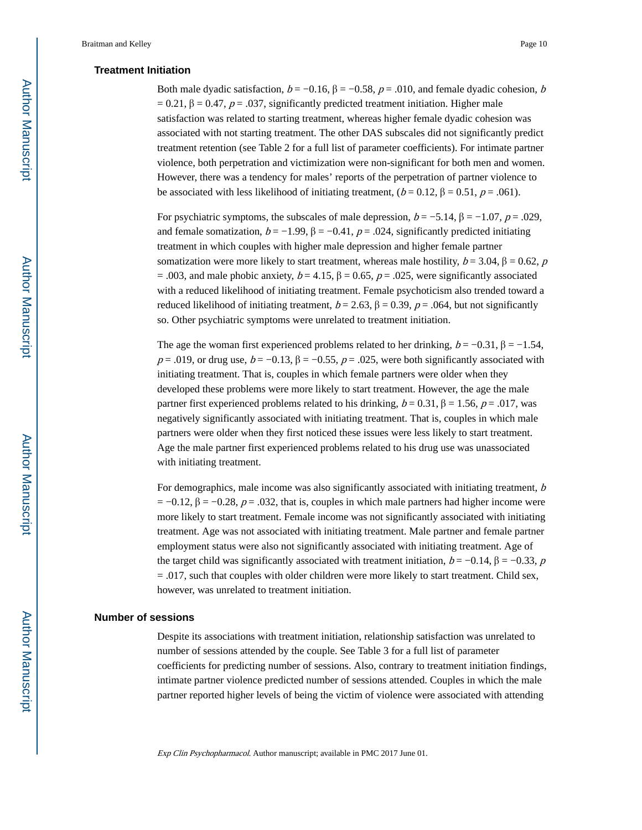#### **Treatment Initiation**

Both male dyadic satisfaction,  $b = -0.16$ ,  $\beta = -0.58$ ,  $p = .010$ , and female dyadic cohesion, b = 0.21,  $\beta$  = 0.47,  $p$  = .037, significantly predicted treatment initiation. Higher male satisfaction was related to starting treatment, whereas higher female dyadic cohesion was associated with not starting treatment. The other DAS subscales did not significantly predict treatment retention (see Table 2 for a full list of parameter coefficients). For intimate partner violence, both perpetration and victimization were non-significant for both men and women. However, there was a tendency for males' reports of the perpetration of partner violence to be associated with less likelihood of initiating treatment,  $(b = 0.12, \beta = 0.51, p = .061)$ .

For psychiatric symptoms, the subscales of male depression,  $b = -5.14$ ,  $\beta = -1.07$ ,  $p = .029$ , and female somatization,  $b = -1.99$ ,  $\beta = -0.41$ ,  $p = .024$ , significantly predicted initiating treatment in which couples with higher male depression and higher female partner somatization were more likely to start treatment, whereas male hostility,  $b = 3.04$ ,  $\beta = 0.62$ , p = .003, and male phobic anxiety,  $b = 4.15$ ,  $\beta = 0.65$ ,  $p = .025$ , were significantly associated with a reduced likelihood of initiating treatment. Female psychoticism also trended toward a reduced likelihood of initiating treatment,  $b = 2.63$ ,  $β = 0.39$ ,  $p = .064$ , but not significantly so. Other psychiatric symptoms were unrelated to treatment initiation.

The age the woman first experienced problems related to her drinking,  $b = -0.31$ ,  $\beta = -1.54$ ,  $p = .019$ , or drug use,  $b = -0.13$ ,  $\beta = -0.55$ ,  $p = .025$ , were both significantly associated with initiating treatment. That is, couples in which female partners were older when they developed these problems were more likely to start treatment. However, the age the male partner first experienced problems related to his drinking,  $b = 0.31$ ,  $\beta = 1.56$ ,  $p = .017$ , was negatively significantly associated with initiating treatment. That is, couples in which male partners were older when they first noticed these issues were less likely to start treatment. Age the male partner first experienced problems related to his drug use was unassociated with initiating treatment.

For demographics, male income was also significantly associated with initiating treatment, b  $= -0.12$ ,  $\beta = -0.28$ ,  $p = .032$ , that is, couples in which male partners had higher income were more likely to start treatment. Female income was not significantly associated with initiating treatment. Age was not associated with initiating treatment. Male partner and female partner employment status were also not significantly associated with initiating treatment. Age of the target child was significantly associated with treatment initiation,  $b = -0.14$ ,  $\beta = -0.33$ , p  $= 0.017$ , such that couples with older children were more likely to start treatment. Child sex, however, was unrelated to treatment initiation.

#### **Number of sessions**

Despite its associations with treatment initiation, relationship satisfaction was unrelated to number of sessions attended by the couple. See Table 3 for a full list of parameter coefficients for predicting number of sessions. Also, contrary to treatment initiation findings, intimate partner violence predicted number of sessions attended. Couples in which the male partner reported higher levels of being the victim of violence were associated with attending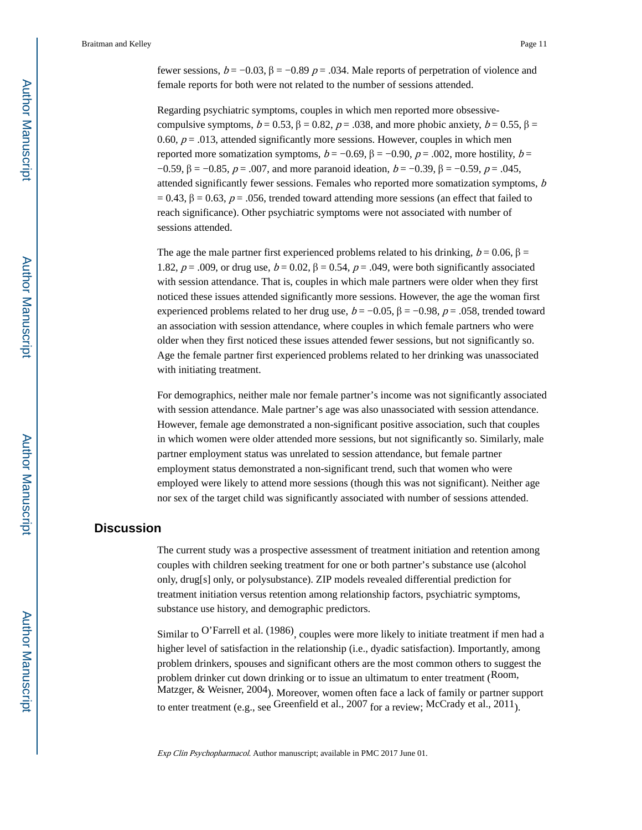fewer sessions,  $b = -0.03$ ,  $\beta = -0.89$  p = .034. Male reports of perpetration of violence and female reports for both were not related to the number of sessions attended.

Regarding psychiatric symptoms, couples in which men reported more obsessivecompulsive symptoms,  $b = 0.53$ ,  $\beta = 0.82$ ,  $p = .038$ , and more phobic anxiety,  $b = 0.55$ ,  $\beta =$ 0.60,  $p = .013$ , attended significantly more sessions. However, couples in which men reported more somatization symptoms,  $b = -0.69$ ,  $\beta = -0.90$ ,  $p = .002$ , more hostility,  $b =$  $-0.59$ , β =  $-0.85$ , p = .007, and more paranoid ideation, b =  $-0.39$ , β =  $-0.59$ , p = .045, attended significantly fewer sessions. Females who reported more somatization symptoms, <sup>b</sup> = 0.43,  $\beta$  = 0.63,  $p$  = .056, trended toward attending more sessions (an effect that failed to reach significance). Other psychiatric symptoms were not associated with number of sessions attended.

The age the male partner first experienced problems related to his drinking,  $b = 0.06$ ,  $\beta =$ 1.82,  $p = .009$ , or drug use,  $b = 0.02$ ,  $β = 0.54$ ,  $p = .049$ , were both significantly associated with session attendance. That is, couples in which male partners were older when they first noticed these issues attended significantly more sessions. However, the age the woman first experienced problems related to her drug use,  $b = -0.05$ ,  $\beta = -0.98$ ,  $p = .058$ , trended toward an association with session attendance, where couples in which female partners who were older when they first noticed these issues attended fewer sessions, but not significantly so. Age the female partner first experienced problems related to her drinking was unassociated with initiating treatment.

For demographics, neither male nor female partner's income was not significantly associated with session attendance. Male partner's age was also unassociated with session attendance. However, female age demonstrated a non-significant positive association, such that couples in which women were older attended more sessions, but not significantly so. Similarly, male partner employment status was unrelated to session attendance, but female partner employment status demonstrated a non-significant trend, such that women who were employed were likely to attend more sessions (though this was not significant). Neither age nor sex of the target child was significantly associated with number of sessions attended.

## **Discussion**

The current study was a prospective assessment of treatment initiation and retention among couples with children seeking treatment for one or both partner's substance use (alcohol only, drug[s] only, or polysubstance). ZIP models revealed differential prediction for treatment initiation versus retention among relationship factors, psychiatric symptoms, substance use history, and demographic predictors.

Similar to O'Farrell et al. (1986), couples were more likely to initiate treatment if men had a higher level of satisfaction in the relationship (i.e., dyadic satisfaction). Importantly, among problem drinkers, spouses and significant others are the most common others to suggest the problem drinker cut down drinking or to issue an ultimatum to enter treatment (Room, Matzger, & Weisner, 2004). Moreover, women often face a lack of family or partner support to enter treatment (e.g., see Greenfield et al., 2007 for a review; McCrady et al., 2011).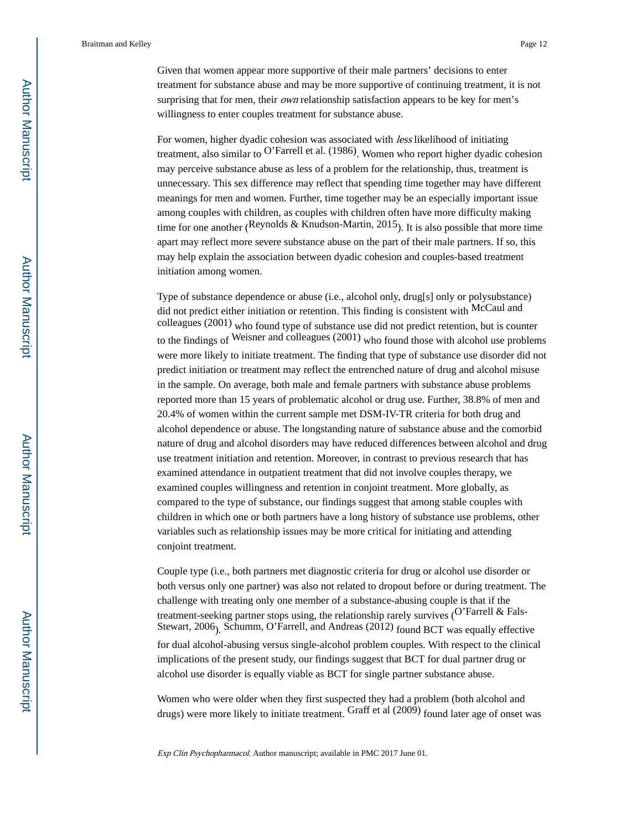Given that women appear more supportive of their male partners' decisions to enter treatment for substance abuse and may be more supportive of continuing treatment, it is not surprising that for men, their *own* relationship satisfaction appears to be key for men's willingness to enter couples treatment for substance abuse.

For women, higher dyadic cohesion was associated with less likelihood of initiating treatment, also similar to O'Farrell et al. (1986). Women who report higher dyadic cohesion may perceive substance abuse as less of a problem for the relationship, thus, treatment is unnecessary. This sex difference may reflect that spending time together may have different meanings for men and women. Further, time together may be an especially important issue among couples with children, as couples with children often have more difficulty making time for one another (Reynolds & Knudson-Martin, 2015). It is also possible that more time apart may reflect more severe substance abuse on the part of their male partners. If so, this may help explain the association between dyadic cohesion and couples-based treatment initiation among women.

Type of substance dependence or abuse (i.e., alcohol only, drug[s] only or polysubstance) did not predict either initiation or retention. This finding is consistent with McCaul and colleagues (2001) who found type of substance use did not predict retention, but is counter to the findings of Weisner and colleagues (2001) who found those with alcohol use problems were more likely to initiate treatment. The finding that type of substance use disorder did not predict initiation or treatment may reflect the entrenched nature of drug and alcohol misuse in the sample. On average, both male and female partners with substance abuse problems reported more than 15 years of problematic alcohol or drug use. Further, 38.8% of men and 20.4% of women within the current sample met DSM-IV-TR criteria for both drug and alcohol dependence or abuse. The longstanding nature of substance abuse and the comorbid nature of drug and alcohol disorders may have reduced differences between alcohol and drug use treatment initiation and retention. Moreover, in contrast to previous research that has examined attendance in outpatient treatment that did not involve couples therapy, we examined couples willingness and retention in conjoint treatment. More globally, as compared to the type of substance, our findings suggest that among stable couples with children in which one or both partners have a long history of substance use problems, other variables such as relationship issues may be more critical for initiating and attending conjoint treatment.

Couple type (i.e., both partners met diagnostic criteria for drug or alcohol use disorder or both versus only one partner) was also not related to dropout before or during treatment. The challenge with treating only one member of a substance-abusing couple is that if the treatment-seeking partner stops using, the relationship rarely survives (O'Farrell & Fals-Stewart, 2006<sub>).</sub> Schumm, O'Farrell, and Andreas (2012) found BCT was equally effective for dual alcohol-abusing versus single-alcohol problem couples. With respect to the clinical implications of the present study, our findings suggest that BCT for dual partner drug or alcohol use disorder is equally viable as BCT for single partner substance abuse.

Women who were older when they first suspected they had a problem (both alcohol and drugs) were more likely to initiate treatment. Graff et al  $(2009)$  found later age of onset was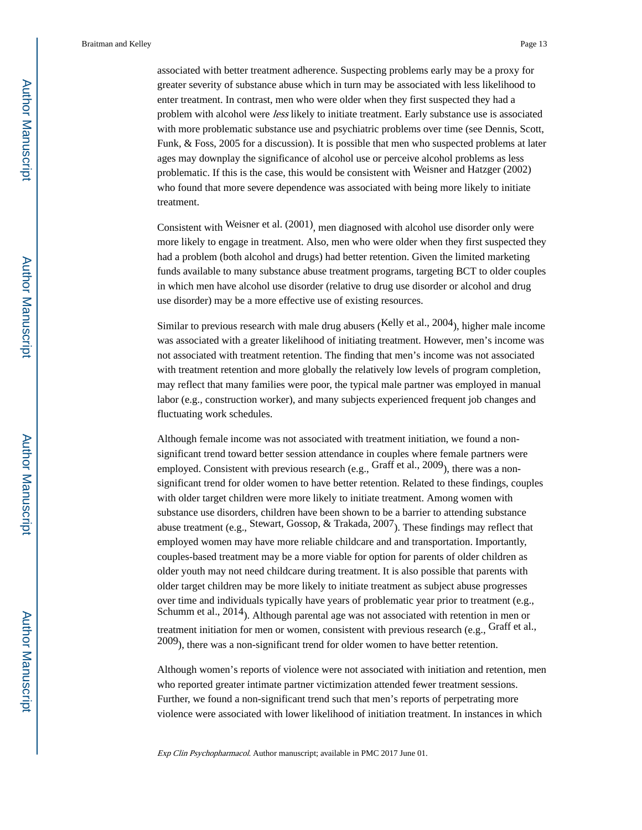associated with better treatment adherence. Suspecting problems early may be a proxy for greater severity of substance abuse which in turn may be associated with less likelihood to enter treatment. In contrast, men who were older when they first suspected they had a problem with alcohol were less likely to initiate treatment. Early substance use is associated with more problematic substance use and psychiatric problems over time (see Dennis, Scott, Funk, & Foss, 2005 for a discussion). It is possible that men who suspected problems at later ages may downplay the significance of alcohol use or perceive alcohol problems as less problematic. If this is the case, this would be consistent with Weisner and Hatzger (2002) who found that more severe dependence was associated with being more likely to initiate treatment.

Consistent with Weisner et al. (2001), men diagnosed with alcohol use disorder only were more likely to engage in treatment. Also, men who were older when they first suspected they had a problem (both alcohol and drugs) had better retention. Given the limited marketing funds available to many substance abuse treatment programs, targeting BCT to older couples in which men have alcohol use disorder (relative to drug use disorder or alcohol and drug use disorder) may be a more effective use of existing resources.

Similar to previous research with male drug abusers (Kelly et al., 2004), higher male income was associated with a greater likelihood of initiating treatment. However, men's income was not associated with treatment retention. The finding that men's income was not associated with treatment retention and more globally the relatively low levels of program completion, may reflect that many families were poor, the typical male partner was employed in manual labor (e.g., construction worker), and many subjects experienced frequent job changes and fluctuating work schedules.

Although female income was not associated with treatment initiation, we found a nonsignificant trend toward better session attendance in couples where female partners were employed. Consistent with previous research (e.g., Graff et al., 2009), there was a nonsignificant trend for older women to have better retention. Related to these findings, couples with older target children were more likely to initiate treatment. Among women with substance use disorders, children have been shown to be a barrier to attending substance abuse treatment (e.g., Stewart, Gossop, & Trakada, 2007). These findings may reflect that employed women may have more reliable childcare and and transportation. Importantly, couples-based treatment may be a more viable for option for parents of older children as older youth may not need childcare during treatment. It is also possible that parents with older target children may be more likely to initiate treatment as subject abuse progresses over time and individuals typically have years of problematic year prior to treatment (e.g., Schumm et al., 2014). Although parental age was not associated with retention in men or treatment initiation for men or women, consistent with previous research (e.g., Graff et al., 2009), there was a non-significant trend for older women to have better retention.

Although women's reports of violence were not associated with initiation and retention, men who reported greater intimate partner victimization attended fewer treatment sessions. Further, we found a non-significant trend such that men's reports of perpetrating more violence were associated with lower likelihood of initiation treatment. In instances in which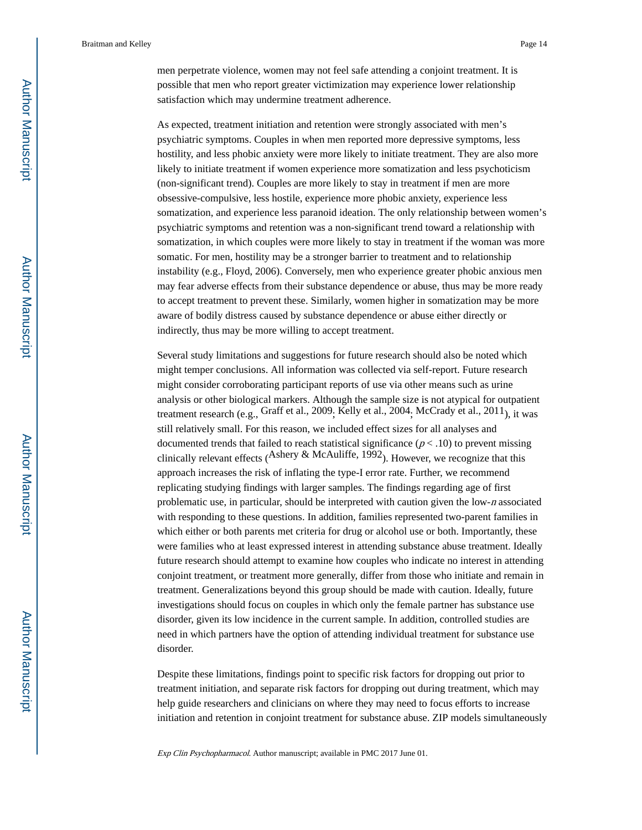men perpetrate violence, women may not feel safe attending a conjoint treatment. It is possible that men who report greater victimization may experience lower relationship satisfaction which may undermine treatment adherence.

As expected, treatment initiation and retention were strongly associated with men's psychiatric symptoms. Couples in when men reported more depressive symptoms, less hostility, and less phobic anxiety were more likely to initiate treatment. They are also more likely to initiate treatment if women experience more somatization and less psychoticism (non-significant trend). Couples are more likely to stay in treatment if men are more obsessive-compulsive, less hostile, experience more phobic anxiety, experience less somatization, and experience less paranoid ideation. The only relationship between women's psychiatric symptoms and retention was a non-significant trend toward a relationship with somatization, in which couples were more likely to stay in treatment if the woman was more somatic. For men, hostility may be a stronger barrier to treatment and to relationship instability (e.g., Floyd, 2006). Conversely, men who experience greater phobic anxious men may fear adverse effects from their substance dependence or abuse, thus may be more ready to accept treatment to prevent these. Similarly, women higher in somatization may be more aware of bodily distress caused by substance dependence or abuse either directly or indirectly, thus may be more willing to accept treatment.

Several study limitations and suggestions for future research should also be noted which might temper conclusions. All information was collected via self-report. Future research might consider corroborating participant reports of use via other means such as urine analysis or other biological markers. Although the sample size is not atypical for outpatient treatment research (e.g., Graff et al., 2009; Kelly et al., 2004; McCrady et al., 2011), it was still relatively small. For this reason, we included effect sizes for all analyses and documented trends that failed to reach statistical significance ( $p < .10$ ) to prevent missing clinically relevant effects (Ashery & McAuliffe, 1992). However, we recognize that this approach increases the risk of inflating the type-I error rate. Further, we recommend replicating studying findings with larger samples. The findings regarding age of first problematic use, in particular, should be interpreted with caution given the low-n associated with responding to these questions. In addition, families represented two-parent families in which either or both parents met criteria for drug or alcohol use or both. Importantly, these were families who at least expressed interest in attending substance abuse treatment. Ideally future research should attempt to examine how couples who indicate no interest in attending conjoint treatment, or treatment more generally, differ from those who initiate and remain in treatment. Generalizations beyond this group should be made with caution. Ideally, future investigations should focus on couples in which only the female partner has substance use disorder, given its low incidence in the current sample. In addition, controlled studies are need in which partners have the option of attending individual treatment for substance use disorder.

Despite these limitations, findings point to specific risk factors for dropping out prior to treatment initiation, and separate risk factors for dropping out during treatment, which may help guide researchers and clinicians on where they may need to focus efforts to increase initiation and retention in conjoint treatment for substance abuse. ZIP models simultaneously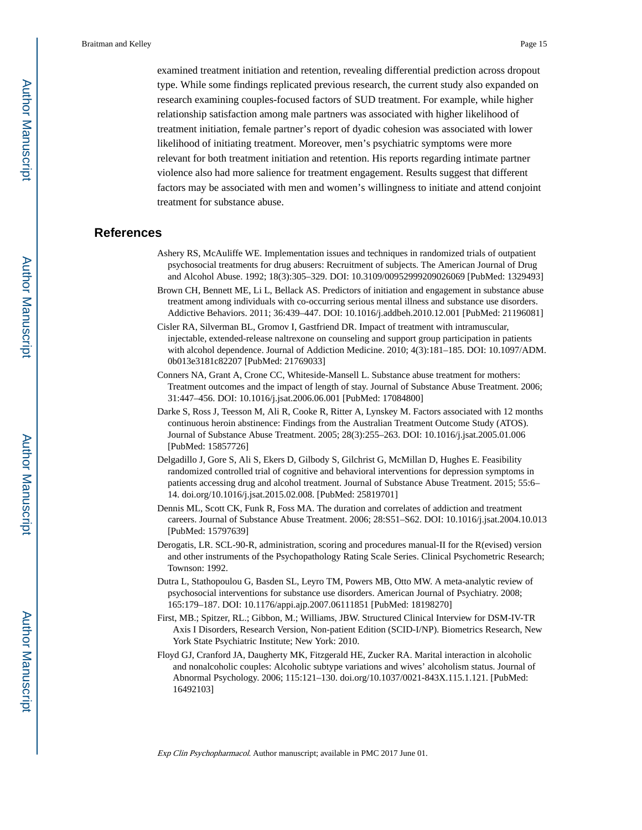examined treatment initiation and retention, revealing differential prediction across dropout type. While some findings replicated previous research, the current study also expanded on research examining couples-focused factors of SUD treatment. For example, while higher relationship satisfaction among male partners was associated with higher likelihood of treatment initiation, female partner's report of dyadic cohesion was associated with lower likelihood of initiating treatment. Moreover, men's psychiatric symptoms were more relevant for both treatment initiation and retention. His reports regarding intimate partner violence also had more salience for treatment engagement. Results suggest that different factors may be associated with men and women's willingness to initiate and attend conjoint treatment for substance abuse.

## **References**

- Ashery RS, McAuliffe WE. Implementation issues and techniques in randomized trials of outpatient psychosocial treatments for drug abusers: Recruitment of subjects. The American Journal of Drug and Alcohol Abuse. 1992; 18(3):305–329. DOI: 10.3109/00952999209026069 [PubMed: 1329493]
- Brown CH, Bennett ME, Li L, Bellack AS. Predictors of initiation and engagement in substance abuse treatment among individuals with co-occurring serious mental illness and substance use disorders. Addictive Behaviors. 2011; 36:439–447. DOI: 10.1016/j.addbeh.2010.12.001 [PubMed: 21196081]
- Cisler RA, Silverman BL, Gromov I, Gastfriend DR. Impact of treatment with intramuscular, injectable, extended-release naltrexone on counseling and support group participation in patients with alcohol dependence. Journal of Addiction Medicine. 2010; 4(3):181–185. DOI: 10.1097/ADM. 0b013e3181c82207 [PubMed: 21769033]
- Conners NA, Grant A, Crone CC, Whiteside-Mansell L. Substance abuse treatment for mothers: Treatment outcomes and the impact of length of stay. Journal of Substance Abuse Treatment. 2006; 31:447–456. DOI: 10.1016/j.jsat.2006.06.001 [PubMed: 17084800]
- Darke S, Ross J, Teesson M, Ali R, Cooke R, Ritter A, Lynskey M. Factors associated with 12 months continuous heroin abstinence: Findings from the Australian Treatment Outcome Study (ATOS). Journal of Substance Abuse Treatment. 2005; 28(3):255–263. DOI: 10.1016/j.jsat.2005.01.006 [PubMed: 15857726]
- Delgadillo J, Gore S, Ali S, Ekers D, Gilbody S, Gilchrist G, McMillan D, Hughes E. Feasibility randomized controlled trial of cognitive and behavioral interventions for depression symptoms in patients accessing drug and alcohol treatment. Journal of Substance Abuse Treatment. 2015; 55:6– 14. doi.org/10.1016/j.jsat.2015.02.008. [PubMed: 25819701]
- Dennis ML, Scott CK, Funk R, Foss MA. The duration and correlates of addiction and treatment careers. Journal of Substance Abuse Treatment. 2006; 28:S51–S62. DOI: 10.1016/j.jsat.2004.10.013 [PubMed: 15797639]
- Derogatis, LR. SCL-90-R, administration, scoring and procedures manual-II for the R(evised) version and other instruments of the Psychopathology Rating Scale Series. Clinical Psychometric Research; Townson: 1992.
- Dutra L, Stathopoulou G, Basden SL, Leyro TM, Powers MB, Otto MW. A meta-analytic review of psychosocial interventions for substance use disorders. American Journal of Psychiatry. 2008; 165:179–187. DOI: 10.1176/appi.ajp.2007.06111851 [PubMed: 18198270]
- First, MB.; Spitzer, RL.; Gibbon, M.; Williams, JBW. Structured Clinical Interview for DSM-IV-TR Axis I Disorders, Research Version, Non-patient Edition (SCID-I/NP). Biometrics Research, New York State Psychiatric Institute; New York: 2010.
- Floyd GJ, Cranford JA, Daugherty MK, Fitzgerald HE, Zucker RA. Marital interaction in alcoholic and nonalcoholic couples: Alcoholic subtype variations and wives' alcoholism status. Journal of Abnormal Psychology. 2006; 115:121–130. doi.org/10.1037/0021-843X.115.1.121. [PubMed: 16492103]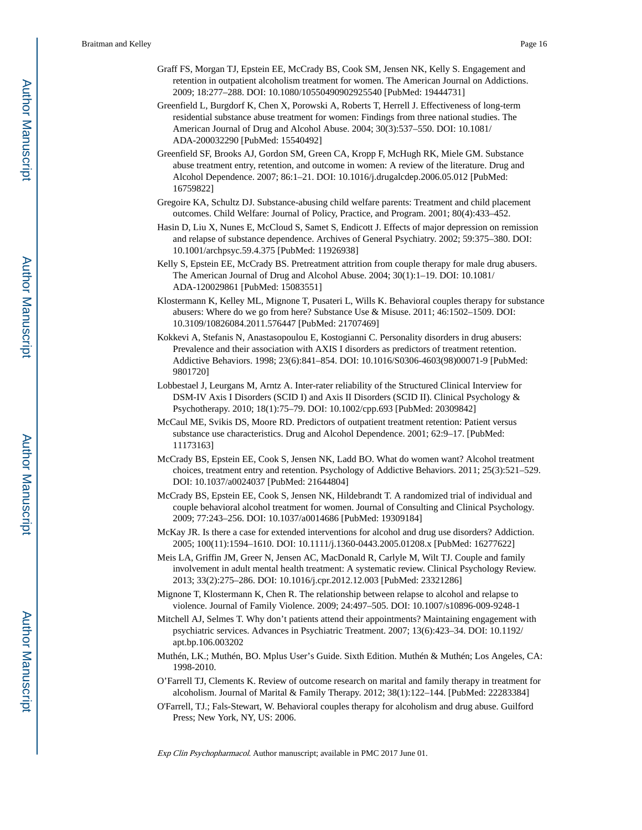- Graff FS, Morgan TJ, Epstein EE, McCrady BS, Cook SM, Jensen NK, Kelly S. Engagement and retention in outpatient alcoholism treatment for women. The American Journal on Addictions. 2009; 18:277–288. DOI: 10.1080/10550490902925540 [PubMed: 19444731]
- Greenfield L, Burgdorf K, Chen X, Porowski A, Roberts T, Herrell J. Effectiveness of long-term residential substance abuse treatment for women: Findings from three national studies. The American Journal of Drug and Alcohol Abuse. 2004; 30(3):537–550. DOI: 10.1081/ ADA-200032290 [PubMed: 15540492]
- Greenfield SF, Brooks AJ, Gordon SM, Green CA, Kropp F, McHugh RK, Miele GM. Substance abuse treatment entry, retention, and outcome in women: A review of the literature. Drug and Alcohol Dependence. 2007; 86:1–21. DOI: 10.1016/j.drugalcdep.2006.05.012 [PubMed: 16759822]
- Gregoire KA, Schultz DJ. Substance-abusing child welfare parents: Treatment and child placement outcomes. Child Welfare: Journal of Policy, Practice, and Program. 2001; 80(4):433–452.
- Hasin D, Liu X, Nunes E, McCloud S, Samet S, Endicott J. Effects of major depression on remission and relapse of substance dependence. Archives of General Psychiatry. 2002; 59:375–380. DOI: 10.1001/archpsyc.59.4.375 [PubMed: 11926938]
- Kelly S, Epstein EE, McCrady BS. Pretreatment attrition from couple therapy for male drug abusers. The American Journal of Drug and Alcohol Abuse. 2004; 30(1):1–19. DOI: 10.1081/ ADA-120029861 [PubMed: 15083551]
- Klostermann K, Kelley ML, Mignone T, Pusateri L, Wills K. Behavioral couples therapy for substance abusers: Where do we go from here? Substance Use & Misuse. 2011; 46:1502–1509. DOI: 10.3109/10826084.2011.576447 [PubMed: 21707469]
- Kokkevi A, Stefanis N, Anastasopoulou E, Kostogianni C. Personality disorders in drug abusers: Prevalence and their association with AXIS I disorders as predictors of treatment retention. Addictive Behaviors. 1998; 23(6):841–854. DOI: 10.1016/S0306-4603(98)00071-9 [PubMed: 9801720]
- Lobbestael J, Leurgans M, Arntz A. Inter-rater reliability of the Structured Clinical Interview for DSM-IV Axis I Disorders (SCID I) and Axis II Disorders (SCID II). Clinical Psychology & Psychotherapy. 2010; 18(1):75–79. DOI: 10.1002/cpp.693 [PubMed: 20309842]
- McCaul ME, Svikis DS, Moore RD. Predictors of outpatient treatment retention: Patient versus substance use characteristics. Drug and Alcohol Dependence. 2001; 62:9–17. [PubMed: 11173163]
- McCrady BS, Epstein EE, Cook S, Jensen NK, Ladd BO. What do women want? Alcohol treatment choices, treatment entry and retention. Psychology of Addictive Behaviors. 2011; 25(3):521–529. DOI: 10.1037/a0024037 [PubMed: 21644804]
- McCrady BS, Epstein EE, Cook S, Jensen NK, Hildebrandt T. A randomized trial of individual and couple behavioral alcohol treatment for women. Journal of Consulting and Clinical Psychology. 2009; 77:243–256. DOI: 10.1037/a0014686 [PubMed: 19309184]
- McKay JR. Is there a case for extended interventions for alcohol and drug use disorders? Addiction. 2005; 100(11):1594–1610. DOI: 10.1111/j.1360-0443.2005.01208.x [PubMed: 16277622]
- Meis LA, Griffin JM, Greer N, Jensen AC, MacDonald R, Carlyle M, Wilt TJ. Couple and family involvement in adult mental health treatment: A systematic review. Clinical Psychology Review. 2013; 33(2):275–286. DOI: 10.1016/j.cpr.2012.12.003 [PubMed: 23321286]
- Mignone T, Klostermann K, Chen R. The relationship between relapse to alcohol and relapse to violence. Journal of Family Violence. 2009; 24:497–505. DOI: 10.1007/s10896-009-9248-1
- Mitchell AJ, Selmes T. Why don't patients attend their appointments? Maintaining engagement with psychiatric services. Advances in Psychiatric Treatment. 2007; 13(6):423–34. DOI: 10.1192/ apt.bp.106.003202
- Muthén, LK.; Muthén, BO. Mplus User's Guide. Sixth Edition. Muthén & Muthén; Los Angeles, CA: 1998-2010.
- O'Farrell TJ, Clements K. Review of outcome research on marital and family therapy in treatment for alcoholism. Journal of Marital & Family Therapy. 2012; 38(1):122–144. [PubMed: 22283384]
- O'Farrell, TJ.; Fals-Stewart, W. Behavioral couples therapy for alcoholism and drug abuse. Guilford Press; New York, NY, US: 2006.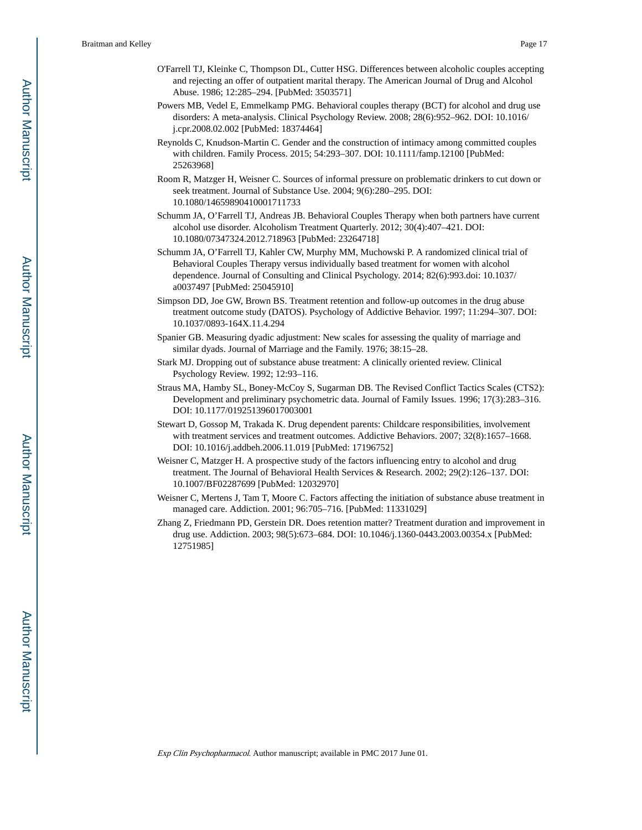- O'Farrell TJ, Kleinke C, Thompson DL, Cutter HSG. Differences between alcoholic couples accepting and rejecting an offer of outpatient marital therapy. The American Journal of Drug and Alcohol Abuse. 1986; 12:285–294. [PubMed: 3503571]
- Powers MB, Vedel E, Emmelkamp PMG. Behavioral couples therapy (BCT) for alcohol and drug use disorders: A meta-analysis. Clinical Psychology Review. 2008; 28(6):952–962. DOI: 10.1016/ j.cpr.2008.02.002 [PubMed: 18374464]
- Reynolds C, Knudson-Martin C. Gender and the construction of intimacy among committed couples with children. Family Process. 2015; 54:293–307. DOI: 10.1111/famp.12100 [PubMed: 25263968]
- Room R, Matzger H, Weisner C. Sources of informal pressure on problematic drinkers to cut down or seek treatment. Journal of Substance Use. 2004; 9(6):280–295. DOI: 10.1080/14659890410001711733
- Schumm JA, O'Farrell TJ, Andreas JB. Behavioral Couples Therapy when both partners have current alcohol use disorder. Alcoholism Treatment Quarterly. 2012; 30(4):407–421. DOI: 10.1080/07347324.2012.718963 [PubMed: 23264718]
- Schumm JA, O'Farrell TJ, Kahler CW, Murphy MM, Muchowski P. A randomized clinical trial of Behavioral Couples Therapy versus individually based treatment for women with alcohol dependence. Journal of Consulting and Clinical Psychology. 2014; 82(6):993.doi: 10.1037/ a0037497 [PubMed: 25045910]
- Simpson DD, Joe GW, Brown BS. Treatment retention and follow-up outcomes in the drug abuse treatment outcome study (DATOS). Psychology of Addictive Behavior. 1997; 11:294–307. DOI: 10.1037/0893-164X.11.4.294
- Spanier GB. Measuring dyadic adjustment: New scales for assessing the quality of marriage and similar dyads. Journal of Marriage and the Family. 1976; 38:15–28.
- Stark MJ. Dropping out of substance abuse treatment: A clinically oriented review. Clinical Psychology Review. 1992; 12:93–116.
- Straus MA, Hamby SL, Boney-McCoy S, Sugarman DB. The Revised Conflict Tactics Scales (CTS2): Development and preliminary psychometric data. Journal of Family Issues. 1996; 17(3):283–316. DOI: 10.1177/019251396017003001
- Stewart D, Gossop M, Trakada K. Drug dependent parents: Childcare responsibilities, involvement with treatment services and treatment outcomes. Addictive Behaviors. 2007; 32(8):1657–1668. DOI: 10.1016/j.addbeh.2006.11.019 [PubMed: 17196752]
- Weisner C, Matzger H. A prospective study of the factors influencing entry to alcohol and drug treatment. The Journal of Behavioral Health Services & Research. 2002; 29(2):126–137. DOI: 10.1007/BF02287699 [PubMed: 12032970]
- Weisner C, Mertens J, Tam T, Moore C. Factors affecting the initiation of substance abuse treatment in managed care. Addiction. 2001; 96:705–716. [PubMed: 11331029]
- Zhang Z, Friedmann PD, Gerstein DR. Does retention matter? Treatment duration and improvement in drug use. Addiction. 2003; 98(5):673–684. DOI: 10.1046/j.1360-0443.2003.00354.x [PubMed: 12751985]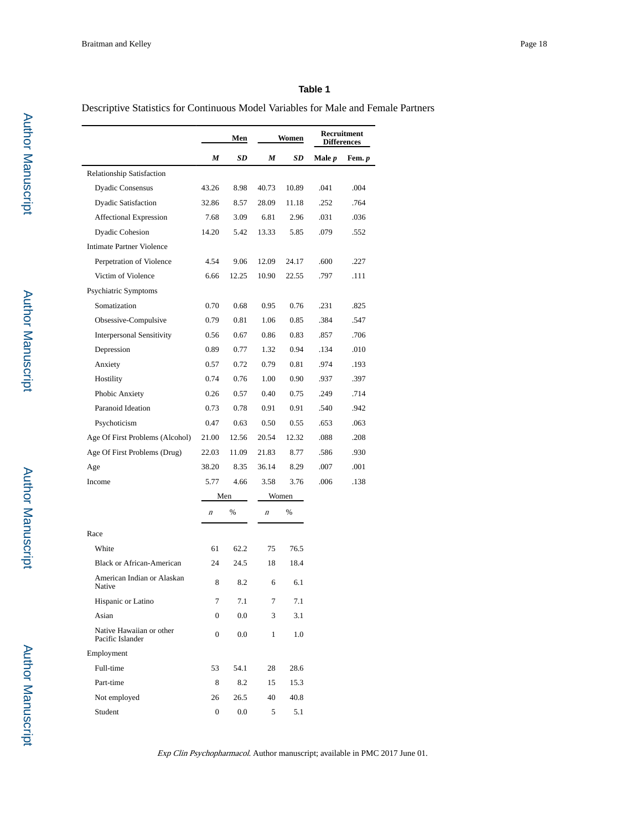## **Table 1**

Descriptive Statistics for Continuous Model Variables for Male and Female Partners

|                                              | Men              |         | Women            |       | Recruitment<br><b>Differences</b> |        |
|----------------------------------------------|------------------|---------|------------------|-------|-----------------------------------|--------|
|                                              | M                | SD      | M                | SD    | Male <i>p</i>                     | Fem. p |
| <b>Relationship Satisfaction</b>             |                  |         |                  |       |                                   |        |
| <b>Dyadic Consensus</b>                      | 43.26            | 8.98    | 40.73            | 10.89 | .041                              | .004   |
| <b>Dyadic Satisfaction</b>                   | 32.86            | 8.57    | 28.09            | 11.18 | .252                              | .764   |
| <b>Affectional Expression</b>                | 7.68             | 3.09    | 6.81             | 2.96  | .031                              | .036   |
| <b>Dyadic Cohesion</b>                       | 14.20            | 5.42    | 13.33            | 5.85  | .079                              | .552   |
| <b>Intimate Partner Violence</b>             |                  |         |                  |       |                                   |        |
| Perpetration of Violence                     | 4.54             | 9.06    | 12.09            | 24.17 | .600                              | .227   |
| Victim of Violence                           | 6.66             | 12.25   | 10.90            | 22.55 | .797                              | .111   |
| Psychiatric Symptoms                         |                  |         |                  |       |                                   |        |
| Somatization                                 | 0.70             | 0.68    | 0.95             | 0.76  | .231                              | .825   |
| Obsessive-Compulsive                         | 0.79             | 0.81    | 1.06             | 0.85  | .384                              | .547   |
| <b>Interpersonal Sensitivity</b>             | 0.56             | 0.67    | 0.86             | 0.83  | .857                              | .706   |
| Depression                                   | 0.89             | 0.77    | 1.32             | 0.94  | .134                              | .010   |
| Anxiety                                      | 0.57             | 0.72    | 0.79             | 0.81  | .974                              | .193   |
| Hostility                                    | 0.74             | 0.76    | 1.00             | 0.90  | .937                              | .397   |
| Phobic Anxiety                               | 0.26             | 0.57    | 0.40             | 0.75  | .249                              | .714   |
| Paranoid Ideation                            | 0.73             | 0.78    | 0.91             | 0.91  | .540                              | .942   |
| Psychoticism                                 | 0.47             | 0.63    | 0.50             | 0.55  | .653                              | .063   |
| Age Of First Problems (Alcohol)              | 21.00            | 12.56   | 20.54            | 12.32 | .088                              | .208   |
| Age Of First Problems (Drug)                 | 22.03            | 11.09   | 21.83            | 8.77  | .586                              | .930   |
| Age                                          | 38.20            | 8.35    | 36.14            | 8.29  | .007                              | .001   |
| Income                                       | 5.77             | 4.66    | 3.58             | 3.76  | .006                              | .138   |
|                                              |                  | Men     |                  | Women |                                   |        |
|                                              | $\boldsymbol{n}$ | %       | $\boldsymbol{n}$ | %     |                                   |        |
| Race                                         |                  |         |                  |       |                                   |        |
| White                                        | 61               | 62.2    | 75               | 76.5  |                                   |        |
| <b>Black or African-American</b>             | 24               | 24.5    | 18               | 18.4  |                                   |        |
| American Indian or Alaskan<br>Native         | 8                | 8.2     | 6                | 6.1   |                                   |        |
| Hispanic or Latino                           | 7                | 7.1     | 7                | 7.1   |                                   |        |
| Asian                                        | $\boldsymbol{0}$ | 0.0     | 3                | 3.1   |                                   |        |
| Native Hawaiian or other<br>Pacific Islander | $\boldsymbol{0}$ | 0.0     | $\mathbf{1}$     | 1.0   |                                   |        |
| Employment                                   |                  |         |                  |       |                                   |        |
| Full-time                                    | 53               | 54.1    | 28               | 28.6  |                                   |        |
| Part-time                                    | 8                | 8.2     | 15               | 15.3  |                                   |        |
| Not employed                                 | 26               | 26.5    | 40               | 40.8  |                                   |        |
| Student                                      | $\boldsymbol{0}$ | $0.0\,$ | 5                | 5.1   |                                   |        |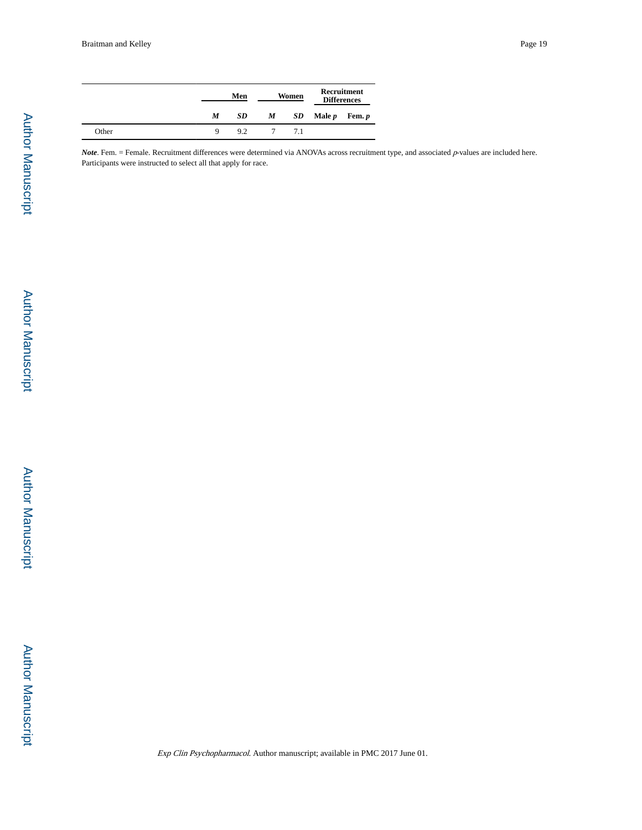|       |   | Women<br>Men |   | Recruitment<br><b>Differences</b> |               |        |
|-------|---|--------------|---|-----------------------------------|---------------|--------|
|       | M | SD           | M | SD                                | Male <i>p</i> | Fem. p |
| Other | 9 | 9.2          |   | 71                                |               |        |

*Note*. Fem. = Female. Recruitment differences were determined via ANOVAs across recruitment type, and associated p-values are included here. Participants were instructed to select all that apply for race.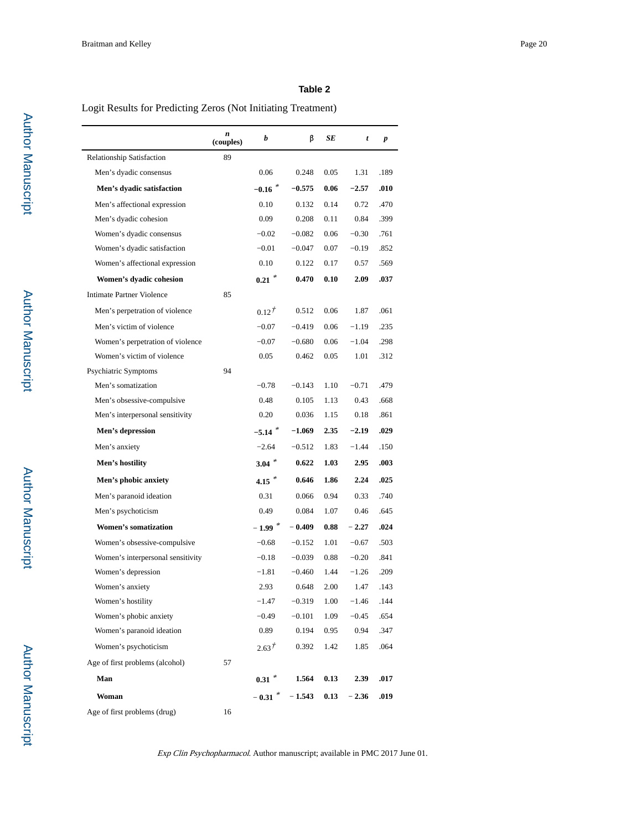## **Table 2**

Logit Results for Predicting Zeros (Not Initiating Treatment)

|                                   | n<br>(couples) | b                 | β        | SE   | t       | $\boldsymbol{p}$ |
|-----------------------------------|----------------|-------------------|----------|------|---------|------------------|
| <b>Relationship Satisfaction</b>  | 89             |                   |          |      |         |                  |
| Men's dyadic consensus            |                | 0.06              | 0.248    | 0.05 | 1.31    | .189             |
| Men's dyadic satisfaction         |                | $-0.16$ *         | $-0.575$ | 0.06 | $-2.57$ | .010             |
| Men's affectional expression      |                | 0.10              | 0.132    | 0.14 | 0.72    | .470             |
| Men's dyadic cohesion             |                | 0.09              | 0.208    | 0.11 | 0.84    | .399             |
| Women's dyadic consensus          |                | $-0.02$           | $-0.082$ | 0.06 | $-0.30$ | .761             |
| Women's dyadic satisfaction       |                | $-0.01$           | $-0.047$ | 0.07 | $-0.19$ | .852             |
| Women's affectional expression    |                | 0.10              | 0.122    | 0.17 | 0.57    | .569             |
| Women's dyadic cohesion           |                | $0.21$ $*$        | 0.470    | 0.10 | 2.09    | .037             |
| <b>Intimate Partner Violence</b>  | 85             |                   |          |      |         |                  |
| Men's perpetration of violence    |                | $0.12^{+7}$       | 0.512    | 0.06 | 1.87    | .061             |
| Men's victim of violence          |                | $-0.07$           | $-0.419$ | 0.06 | $-1.19$ | .235             |
| Women's perpetration of violence  |                | $-0.07$           | $-0.680$ | 0.06 | $-1.04$ | .298             |
| Women's victim of violence        |                | 0.05              | 0.462    | 0.05 | 1.01    | .312             |
| Psychiatric Symptoms              | 94             |                   |          |      |         |                  |
| Men's somatization                |                | $-0.78$           | $-0.143$ | 1.10 | $-0.71$ | .479             |
| Men's obsessive-compulsive        |                | 0.48              | 0.105    | 1.13 | 0.43    | .668             |
| Men's interpersonal sensitivity   |                | 0.20              | 0.036    | 1.15 | 0.18    | .861             |
| Men's depression                  |                | $-5.14$ *         | $-1.069$ | 2.35 | $-2.19$ | .029             |
| Men's anxiety                     |                | $-2.64$           | $-0.512$ | 1.83 | $-1.44$ | .150             |
| Men's hostility                   |                | $3.04*$           | 0.622    | 1.03 | 2.95    | .003             |
| Men's phobic anxiety              |                | 4.15 $*$          | 0.646    | 1.86 | 2.24    | .025             |
| Men's paranoid ideation           |                | 0.31              | 0.066    | 0.94 | 0.33    | .740             |
| Men's psychoticism                |                | 0.49              | 0.084    | 1.07 | 0.46    | .645             |
| <b>Women's somatization</b>       |                | $-1.99$ $*$       | $-0.409$ | 0.88 | $-2.27$ | .024             |
| Women's obsessive-compulsive      |                | $-0.68$           | $-0.152$ | 1.01 | $-0.67$ | .503             |
| Women's interpersonal sensitivity |                | $-0.18$           | $-0.039$ | 0.88 | $-0.20$ | .841             |
| Women's depression                |                | $-1.81$           | $-0.460$ | 1.44 | $-1.26$ | .209             |
| Women's anxiety                   |                | 2.93              | 0.648    | 2.00 | 1.47    | .143             |
| Women's hostility                 |                | $-1.47$           | $-0.319$ | 1.00 | $-1.46$ | .144             |
| Women's phobic anxiety            |                | $-0.49$           | $-0.101$ | 1.09 | $-0.45$ | .654             |
| Women's paranoid ideation         |                | 0.89              | 0.194    | 0.95 | 0.94    | .347             |
| Women's psychoticism              |                | 2.63 <sup>†</sup> | 0.392    | 1.42 | 1.85    | .064             |
| Age of first problems (alcohol)   | 57             |                   |          |      |         |                  |
| Man                               |                | $0.31$ $*$        | 1.564    | 0.13 | 2.39    | .017             |
| Woman                             |                | $-0.31$ *         | $-1.543$ | 0.13 | $-2.36$ | .019             |
| Age of first problems (drug)      | 16             |                   |          |      |         |                  |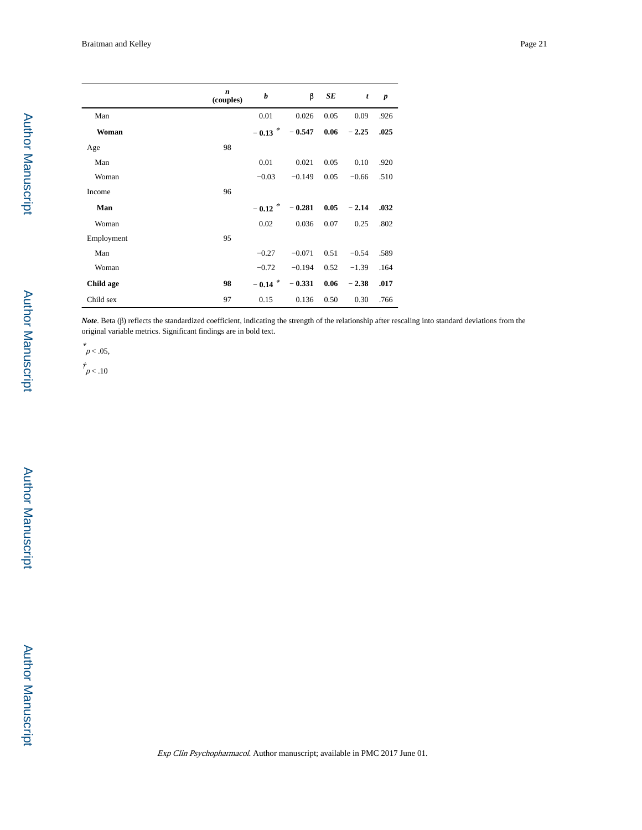|            | $\boldsymbol{n}$<br>(couples) | b         | β        | SE   | t       | $\boldsymbol{p}$ |
|------------|-------------------------------|-----------|----------|------|---------|------------------|
| Man        |                               | 0.01      | 0.026    | 0.05 | 0.09    | .926             |
| Woman      |                               | $-0.13$ * | $-0.547$ | 0.06 | $-2.25$ | .025             |
| Age        | 98                            |           |          |      |         |                  |
| Man        |                               | 0.01      | 0.021    | 0.05 | 0.10    | .920             |
| Woman      |                               | $-0.03$   | $-0.149$ | 0.05 | $-0.66$ | .510             |
| Income     | 96                            |           |          |      |         |                  |
| Man        |                               | $-0.12$ * | $-0.281$ | 0.05 | $-2.14$ | .032             |
| Woman      |                               | 0.02      | 0.036    | 0.07 | 0.25    | .802             |
| Employment | 95                            |           |          |      |         |                  |
| Man        |                               | $-0.27$   | $-0.071$ | 0.51 | $-0.54$ | .589             |
| Woman      |                               | $-0.72$   | $-0.194$ | 0.52 | $-1.39$ | .164             |
| Child age  | 98                            | $-0.14$ * | $-0.331$ | 0.06 | $-2.38$ | .017             |
| Child sex  | 97                            | 0.15      | 0.136    | 0.50 | 0.30    | .766             |

*Note*. Beta (β) reflects the standardized coefficient, indicating the strength of the relationship after rescaling into standard deviations from the original variable metrics. Significant findings are in bold text.

 $p < .05,$ 

 $\stackrel{\dagger}{p}$  < .10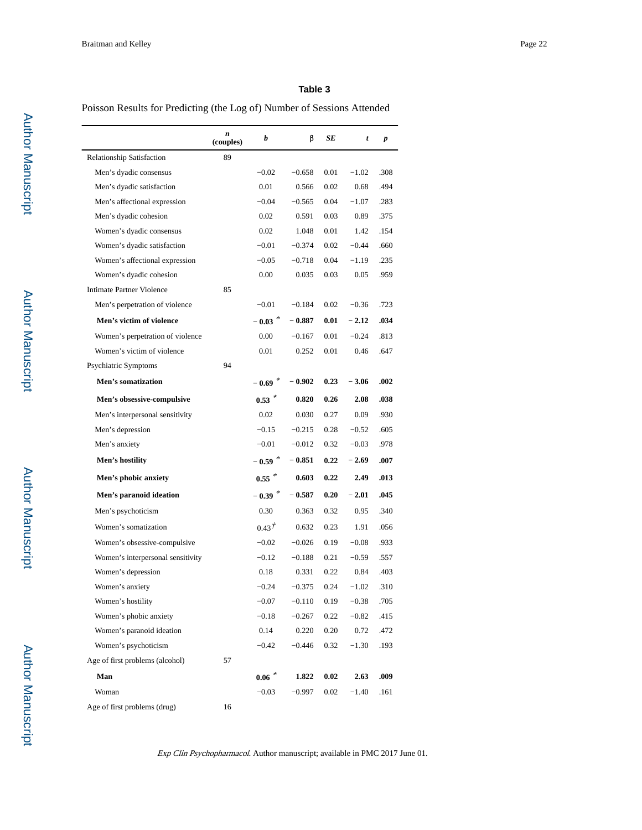#### **Table 3**

Poisson Results for Predicting (the Log of) Number of Sessions Attended

|                                   | n<br>(couples) | b                 | β        | SE   | t       | $\boldsymbol{p}$ |
|-----------------------------------|----------------|-------------------|----------|------|---------|------------------|
| <b>Relationship Satisfaction</b>  | 89             |                   |          |      |         |                  |
| Men's dyadic consensus            |                | $-0.02$           | $-0.658$ | 0.01 | $-1.02$ | .308             |
| Men's dyadic satisfaction         |                | 0.01              | 0.566    | 0.02 | 0.68    | .494             |
| Men's affectional expression      |                | $-0.04$           | $-0.565$ | 0.04 | $-1.07$ | .283             |
| Men's dyadic cohesion             |                | 0.02              | 0.591    | 0.03 | 0.89    | .375             |
| Women's dyadic consensus          |                | 0.02              | 1.048    | 0.01 | 1.42    | .154             |
| Women's dyadic satisfaction       |                | $-0.01$           | $-0.374$ | 0.02 | $-0.44$ | .660             |
| Women's affectional expression    |                | $-0.05$           | $-0.718$ | 0.04 | $-1.19$ | .235             |
| Women's dyadic cohesion           |                | 0.00              | 0.035    | 0.03 | 0.05    | .959             |
| <b>Intimate Partner Violence</b>  | 85             |                   |          |      |         |                  |
| Men's perpetration of violence    |                | $-0.01$           | $-0.184$ | 0.02 | $-0.36$ | .723             |
| Men's victim of violence          |                | $-0.03$ *         | $-0.887$ | 0.01 | $-2.12$ | .034             |
| Women's perpetration of violence  |                | 0.00              | $-0.167$ | 0.01 | $-0.24$ | .813             |
| Women's victim of violence        |                | 0.01              | 0.252    | 0.01 | 0.46    | .647             |
| Psychiatric Symptoms              | 94             |                   |          |      |         |                  |
| Men's somatization                |                | $-0.69$ *         | $-0.902$ | 0.23 | $-3.06$ | .002             |
| Men's obsessive-compulsive        |                | $0.53$ $*$        | 0.820    | 0.26 | 2.08    | .038             |
| Men's interpersonal sensitivity   |                | 0.02              | 0.030    | 0.27 | 0.09    | .930             |
| Men's depression                  |                | $-0.15$           | $-0.215$ | 0.28 | $-0.52$ | .605             |
| Men's anxiety                     |                | $-0.01$           | $-0.012$ | 0.32 | $-0.03$ | .978             |
| Men's hostility                   |                | $-0.59$ $*$       | $-0.851$ | 0.22 | $-2.69$ | .007             |
| Men's phobic anxiety              |                | $0.55$ $*$        | 0.603    | 0.22 | 2.49    | .013             |
| Men's paranoid ideation           |                | $-0.39$ *         | $-0.587$ | 0.20 | $-2.01$ | .045             |
| Men's psychoticism                |                | 0.30              | 0.363    | 0.32 | 0.95    | .340             |
| Women's somatization              |                | 0.43 <sup>†</sup> | 0.632    | 0.23 | 1.91    | .056             |
| Women's obsessive-compulsive      |                | $-0.02$           | $-0.026$ | 0.19 | $-0.08$ | .933             |
| Women's interpersonal sensitivity |                | $-0.12$           | $-0.188$ | 0.21 | $-0.59$ | .557             |
| Women's depression                |                | 0.18              | 0.331    | 0.22 | 0.84    | .403             |
| Women's anxiety                   |                | $-0.24$           | $-0.375$ | 0.24 | $-1.02$ | .310             |
| Women's hostility                 |                | $-0.07$           | $-0.110$ | 0.19 | $-0.38$ | .705             |
| Women's phobic anxiety            |                | $-0.18$           | $-0.267$ | 0.22 | $-0.82$ | .415             |
| Women's paranoid ideation         |                | 0.14              | 0.220    | 0.20 | 0.72    | .472             |
| Women's psychoticism              |                | $-0.42$           | $-0.446$ | 0.32 | $-1.30$ | .193             |
| Age of first problems (alcohol)   | 57             |                   |          |      |         |                  |
| Man                               |                | $0.06$ $^{\ast}$  | 1.822    | 0.02 | 2.63    | .009             |
| Woman                             |                | $-0.03$           | $-0.997$ | 0.02 | $-1.40$ | .161             |
| Age of first problems (drug)      | 16             |                   |          |      |         |                  |